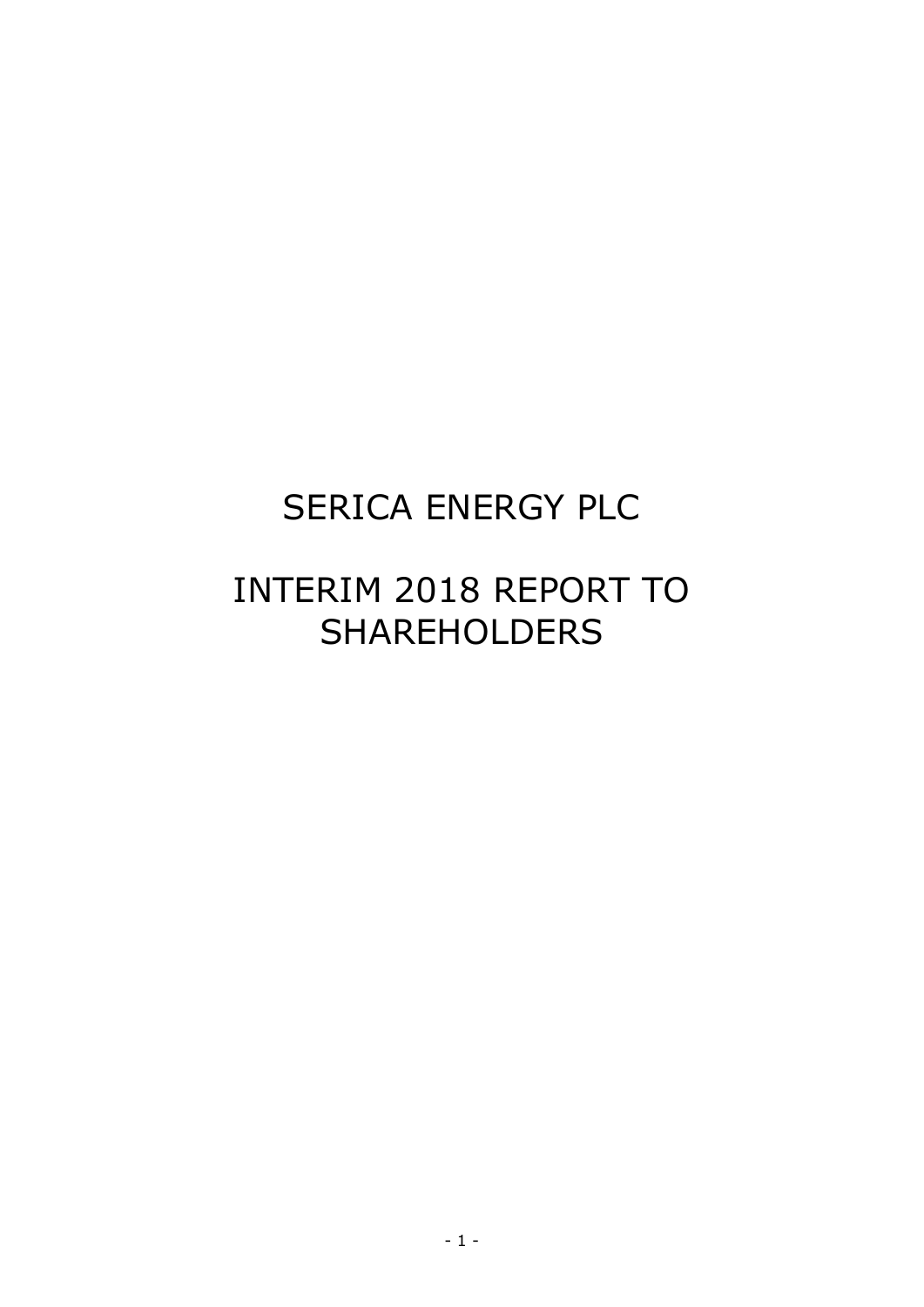# SERICA ENERGY PLC

# INTERIM 2018 REPORT TO SHAREHOLDERS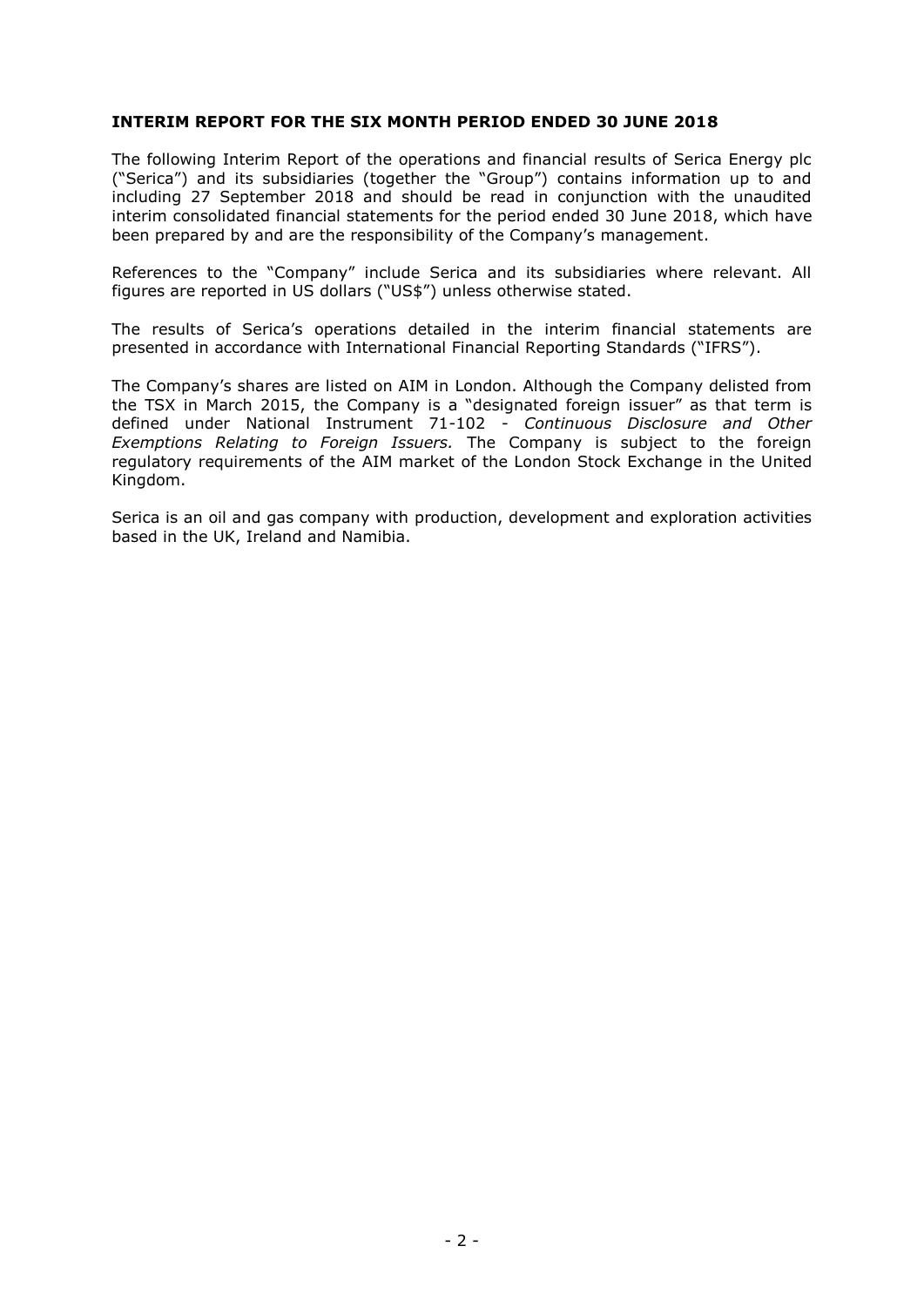# **INTERIM REPORT FOR THE SIX MONTH PERIOD ENDED 30 JUNE 2018**

The following Interim Report of the operations and financial results of Serica Energy plc ("Serica") and its subsidiaries (together the "Group") contains information up to and including 27 September 2018 and should be read in conjunction with the unaudited interim consolidated financial statements for the period ended 30 June 2018, which have been prepared by and are the responsibility of the Company's management.

References to the "Company" include Serica and its subsidiaries where relevant. All figures are reported in US dollars ("US\$") unless otherwise stated.

The results of Serica's operations detailed in the interim financial statements are presented in accordance with International Financial Reporting Standards ("IFRS").

The Company's shares are listed on AIM in London. Although the Company delisted from the TSX in March 2015, the Company is a "designated foreign issuer" as that term is defined under National Instrument 71-102 - *Continuous Disclosure and Other Exemptions Relating to Foreign Issuers.* The Company is subject to the foreign regulatory requirements of the AIM market of the London Stock Exchange in the United Kingdom.

Serica is an oil and gas company with production, development and exploration activities based in the UK, Ireland and Namibia.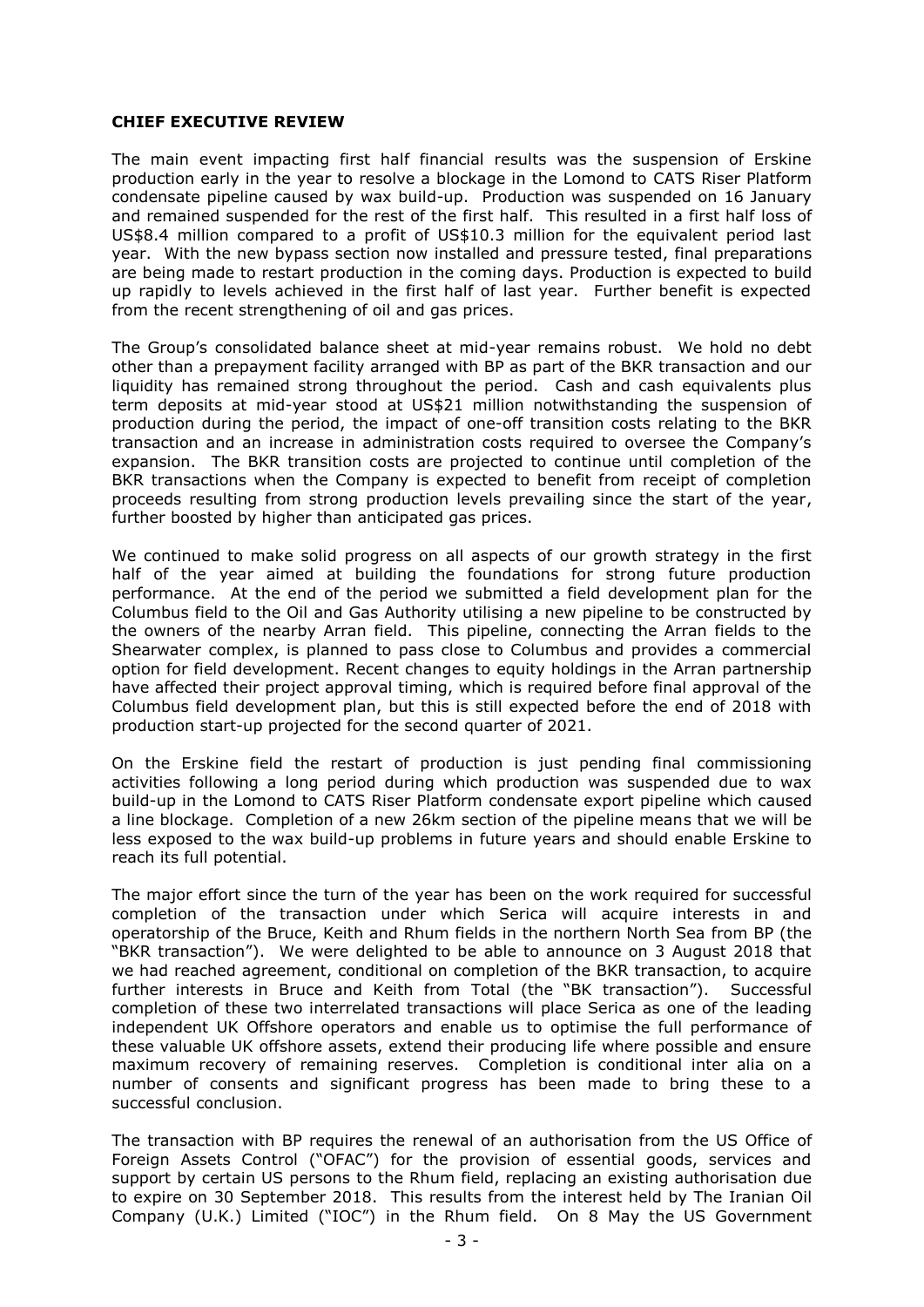# **CHIEF EXECUTIVE REVIEW**

The main event impacting first half financial results was the suspension of Erskine production early in the year to resolve a blockage in the Lomond to CATS Riser Platform condensate pipeline caused by wax build-up. Production was suspended on 16 January and remained suspended for the rest of the first half. This resulted in a first half loss of US\$8.4 million compared to a profit of US\$10.3 million for the equivalent period last year. With the new bypass section now installed and pressure tested, final preparations are being made to restart production in the coming days. Production is expected to build up rapidly to levels achieved in the first half of last year. Further benefit is expected from the recent strengthening of oil and gas prices.

The Group's consolidated balance sheet at mid-year remains robust. We hold no debt other than a prepayment facility arranged with BP as part of the BKR transaction and our liquidity has remained strong throughout the period. Cash and cash equivalents plus term deposits at mid-year stood at US\$21 million notwithstanding the suspension of production during the period, the impact of one-off transition costs relating to the BKR transaction and an increase in administration costs required to oversee the Company's expansion. The BKR transition costs are projected to continue until completion of the BKR transactions when the Company is expected to benefit from receipt of completion proceeds resulting from strong production levels prevailing since the start of the year, further boosted by higher than anticipated gas prices.

We continued to make solid progress on all aspects of our growth strategy in the first half of the year aimed at building the foundations for strong future production performance. At the end of the period we submitted a field development plan for the Columbus field to the Oil and Gas Authority utilising a new pipeline to be constructed by the owners of the nearby Arran field. This pipeline, connecting the Arran fields to the Shearwater complex, is planned to pass close to Columbus and provides a commercial option for field development. Recent changes to equity holdings in the Arran partnership have affected their project approval timing, which is required before final approval of the Columbus field development plan, but this is still expected before the end of 2018 with production start-up projected for the second quarter of 2021.

On the Erskine field the restart of production is just pending final commissioning activities following a long period during which production was suspended due to wax build-up in the Lomond to CATS Riser Platform condensate export pipeline which caused a line blockage. Completion of a new 26km section of the pipeline means that we will be less exposed to the wax build-up problems in future years and should enable Erskine to reach its full potential.

The major effort since the turn of the year has been on the work required for successful completion of the transaction under which Serica will acquire interests in and operatorship of the Bruce, Keith and Rhum fields in the northern North Sea from BP (the "BKR transaction"). We were delighted to be able to announce on 3 August 2018 that we had reached agreement, conditional on completion of the BKR transaction, to acquire further interests in Bruce and Keith from Total (the "BK transaction"). Successful completion of these two interrelated transactions will place Serica as one of the leading independent UK Offshore operators and enable us to optimise the full performance of these valuable UK offshore assets, extend their producing life where possible and ensure maximum recovery of remaining reserves. Completion is conditional inter alia on a number of consents and significant progress has been made to bring these to a successful conclusion.

The transaction with BP requires the renewal of an authorisation from the US Office of Foreign Assets Control ("OFAC") for the provision of essential goods, services and support by certain US persons to the Rhum field, replacing an existing authorisation due to expire on 30 September 2018. This results from the interest held by The Iranian Oil Company (U.K.) Limited ("IOC") in the Rhum field. On 8 May the US Government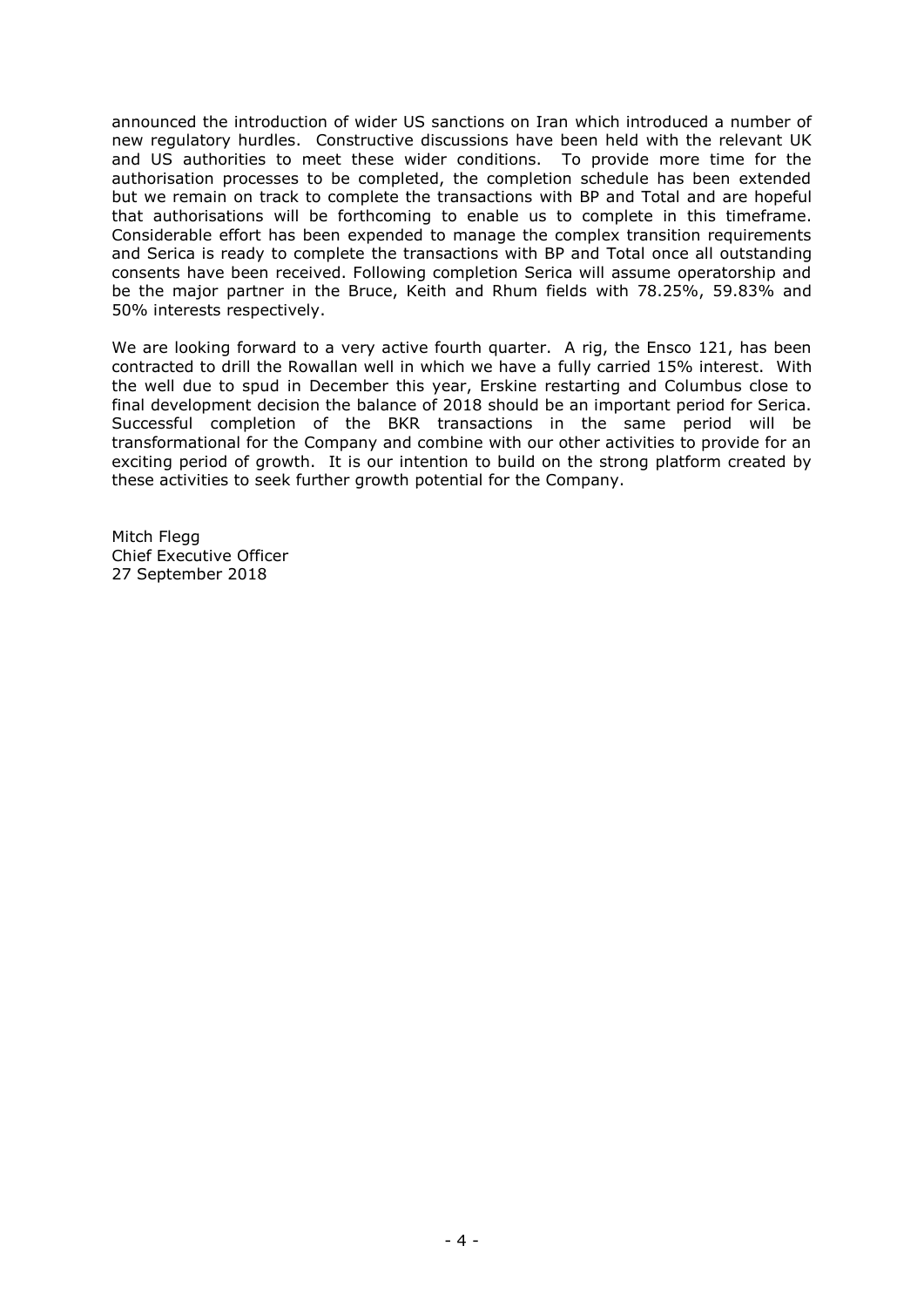announced the introduction of wider US sanctions on Iran which introduced a number of new regulatory hurdles. Constructive discussions have been held with the relevant UK and US authorities to meet these wider conditions. To provide more time for the authorisation processes to be completed, the completion schedule has been extended but we remain on track to complete the transactions with BP and Total and are hopeful that authorisations will be forthcoming to enable us to complete in this timeframe. Considerable effort has been expended to manage the complex transition requirements and Serica is ready to complete the transactions with BP and Total once all outstanding consents have been received. Following completion Serica will assume operatorship and be the major partner in the Bruce, Keith and Rhum fields with 78.25%, 59.83% and 50% interests respectively.

We are looking forward to a very active fourth quarter. A rig, the Ensco 121, has been contracted to drill the Rowallan well in which we have a fully carried 15% interest. With the well due to spud in December this year, Erskine restarting and Columbus close to final development decision the balance of 2018 should be an important period for Serica. Successful completion of the BKR transactions in the same period will be transformational for the Company and combine with our other activities to provide for an exciting period of growth. It is our intention to build on the strong platform created by these activities to seek further growth potential for the Company.

Mitch Flegg Chief Executive Officer 27 September 2018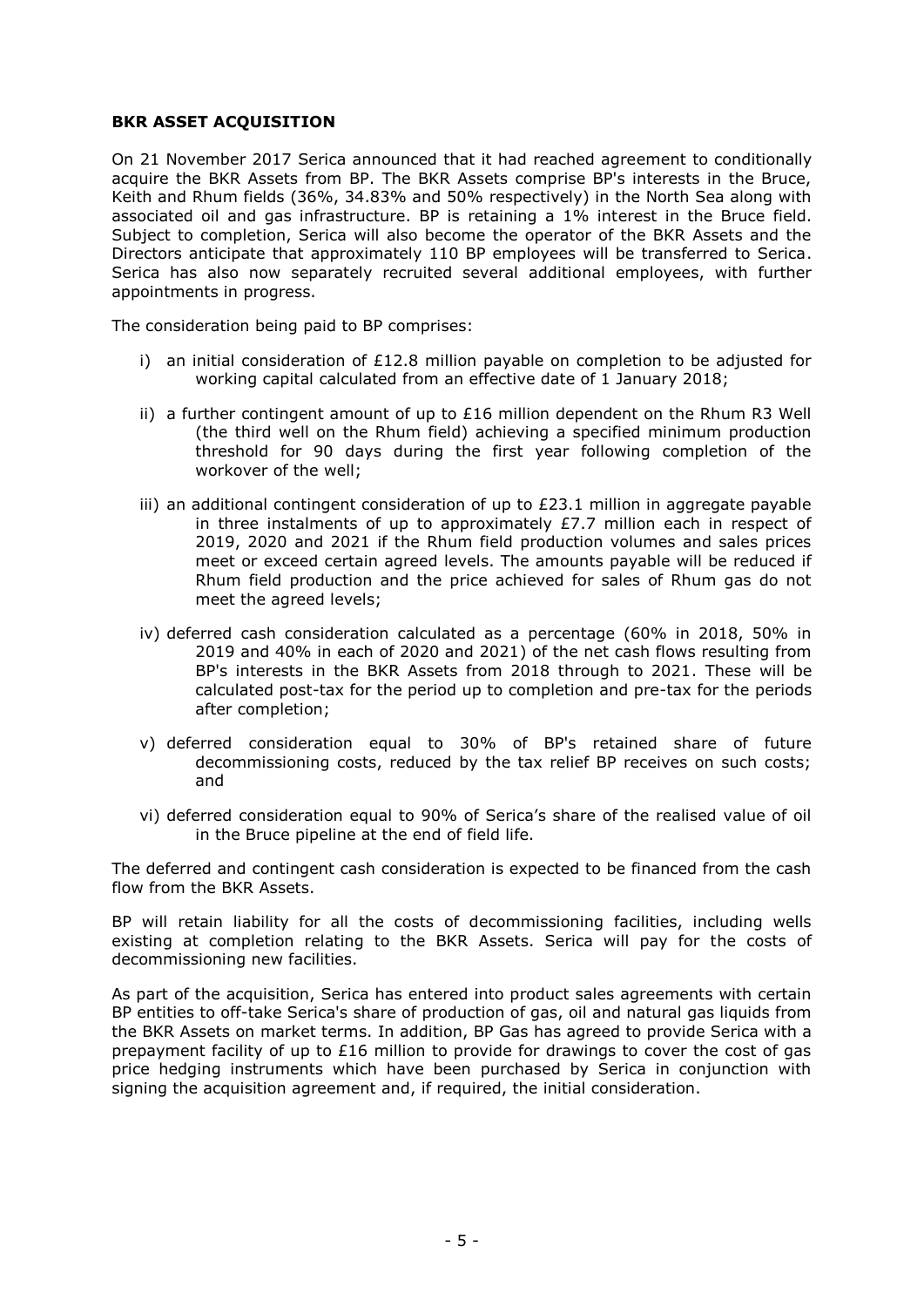# **BKR ASSET ACQUISITION**

On 21 November 2017 Serica announced that it had reached agreement to conditionally acquire the BKR Assets from BP. The BKR Assets comprise BP's interests in the Bruce, Keith and Rhum fields (36%, 34.83% and 50% respectively) in the North Sea along with associated oil and gas infrastructure. BP is retaining a 1% interest in the Bruce field. Subject to completion, Serica will also become the operator of the BKR Assets and the Directors anticipate that approximately 110 BP employees will be transferred to Serica. Serica has also now separately recruited several additional employees, with further appointments in progress.

The consideration being paid to BP comprises:

- i) an initial consideration of  $E12.8$  million payable on completion to be adjusted for working capital calculated from an effective date of 1 January 2018;
- ii) a further contingent amount of up to  $E16$  million dependent on the Rhum R3 Well (the third well on the Rhum field) achieving a specified minimum production threshold for 90 days during the first year following completion of the workover of the well;
- iii) an additional contingent consideration of up to  $E23.1$  million in aggregate payable in three instalments of up to approximately  $E$ 7.7 million each in respect of 2019, 2020 and 2021 if the Rhum field production volumes and sales prices meet or exceed certain agreed levels. The amounts payable will be reduced if Rhum field production and the price achieved for sales of Rhum gas do not meet the agreed levels;
- iv) deferred cash consideration calculated as a percentage (60% in 2018, 50% in 2019 and 40% in each of 2020 and 2021) of the net cash flows resulting from BP's interests in the BKR Assets from 2018 through to 2021. These will be calculated post-tax for the period up to completion and pre-tax for the periods after completion;
- v) deferred consideration equal to 30% of BP's retained share of future decommissioning costs, reduced by the tax relief BP receives on such costs; and
- vi) deferred consideration equal to 90% of Serica's share of the realised value of oil in the Bruce pipeline at the end of field life.

The deferred and contingent cash consideration is expected to be financed from the cash flow from the BKR Assets.

BP will retain liability for all the costs of decommissioning facilities, including wells existing at completion relating to the BKR Assets. Serica will pay for the costs of decommissioning new facilities.

As part of the acquisition, Serica has entered into product sales agreements with certain BP entities to off-take Serica's share of production of gas, oil and natural gas liquids from the BKR Assets on market terms. In addition, BP Gas has agreed to provide Serica with a prepayment facility of up to  $£16$  million to provide for drawings to cover the cost of gas price hedging instruments which have been purchased by Serica in conjunction with signing the acquisition agreement and, if required, the initial consideration.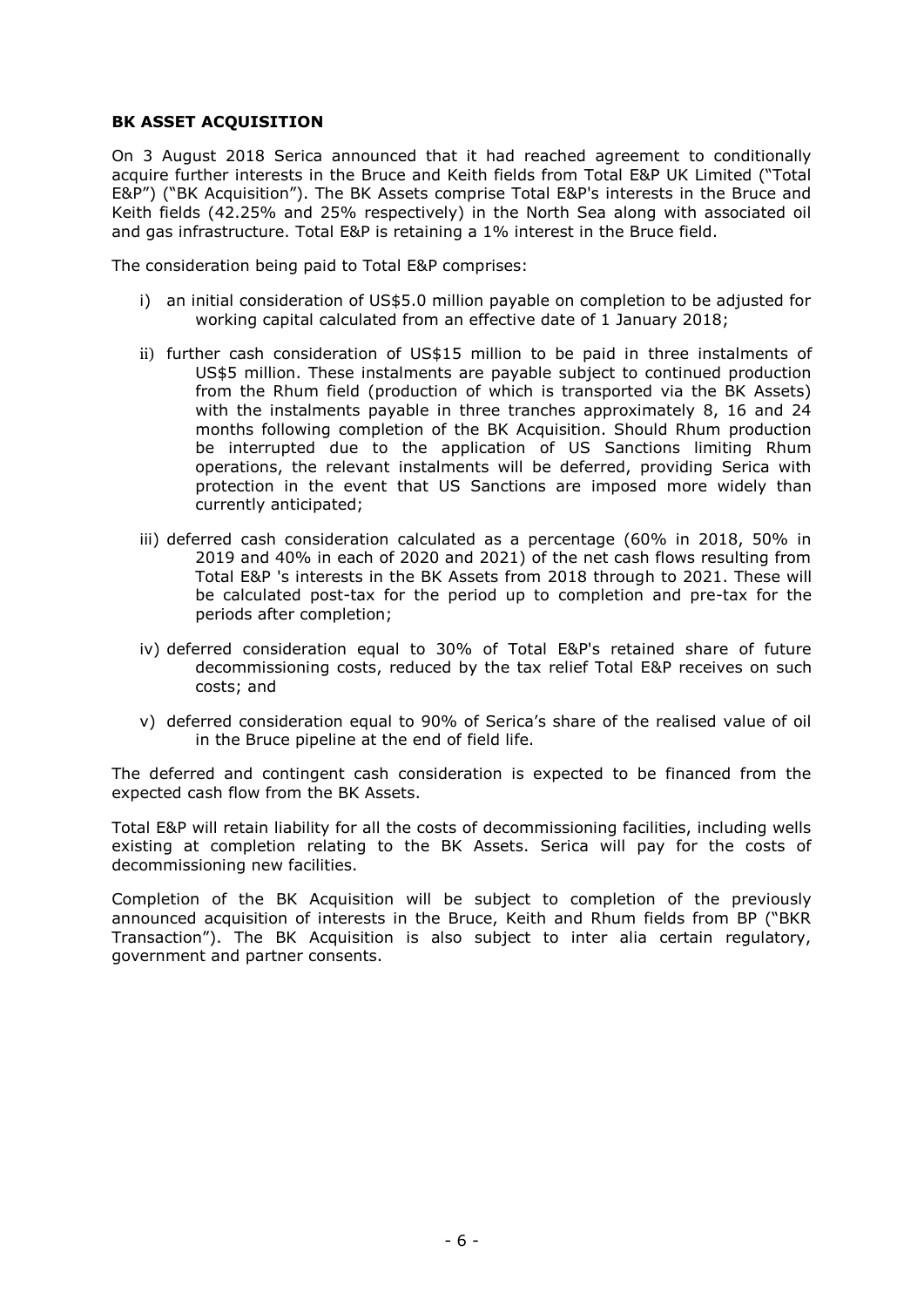# **BK ASSET ACQUISITION**

On 3 August 2018 Serica announced that it had reached agreement to conditionally acquire further interests in the Bruce and Keith fields from Total E&P UK Limited ("Total E&P") ("BK Acquisition"). The BK Assets comprise Total E&P's interests in the Bruce and Keith fields (42.25% and 25% respectively) in the North Sea along with associated oil and gas infrastructure. Total E&P is retaining a 1% interest in the Bruce field.

The consideration being paid to Total E&P comprises:

- i) an initial consideration of US\$5.0 million payable on completion to be adjusted for working capital calculated from an effective date of 1 January 2018;
- ii) further cash consideration of US\$15 million to be paid in three instalments of US\$5 million. These instalments are payable subject to continued production from the Rhum field (production of which is transported via the BK Assets) with the instalments payable in three tranches approximately 8, 16 and 24 months following completion of the BK Acquisition. Should Rhum production be interrupted due to the application of US Sanctions limiting Rhum operations, the relevant instalments will be deferred, providing Serica with protection in the event that US Sanctions are imposed more widely than currently anticipated;
- iii) deferred cash consideration calculated as a percentage (60% in 2018, 50% in 2019 and 40% in each of 2020 and 2021) of the net cash flows resulting from Total E&P 's interests in the BK Assets from 2018 through to 2021. These will be calculated post-tax for the period up to completion and pre-tax for the periods after completion;
- iv) deferred consideration equal to 30% of Total E&P's retained share of future decommissioning costs, reduced by the tax relief Total E&P receives on such costs; and
- v) deferred consideration equal to 90% of Serica's share of the realised value of oil in the Bruce pipeline at the end of field life.

The deferred and contingent cash consideration is expected to be financed from the expected cash flow from the BK Assets.

Total E&P will retain liability for all the costs of decommissioning facilities, including wells existing at completion relating to the BK Assets. Serica will pay for the costs of decommissioning new facilities.

Completion of the BK Acquisition will be subject to completion of the previously announced acquisition of interests in the Bruce, Keith and Rhum fields from BP ("BKR Transaction"). The BK Acquisition is also subject to inter alia certain regulatory, government and partner consents.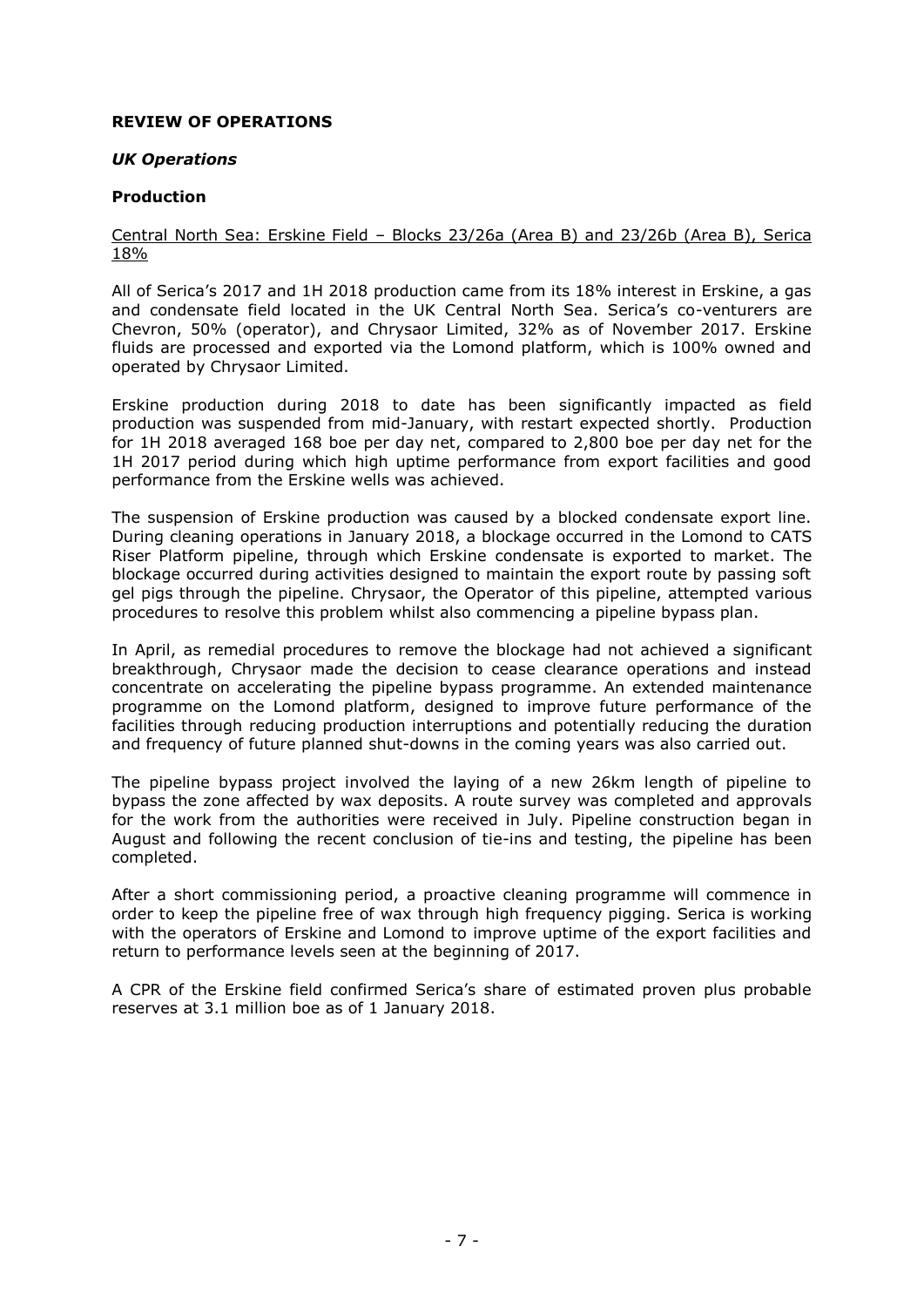# **REVIEW OF OPERATIONS**

# *UK Operations*

# **Production**

# Central North Sea: Erskine Field – Blocks 23/26a (Area B) and 23/26b (Area B), Serica 18%

All of Serica's 2017 and 1H 2018 production came from its 18% interest in Erskine, a gas and condensate field located in the UK Central North Sea. Serica's co-venturers are Chevron, 50% (operator), and Chrysaor Limited, 32% as of November 2017. Erskine fluids are processed and exported via the Lomond platform, which is 100% owned and operated by Chrysaor Limited.

Erskine production during 2018 to date has been significantly impacted as field production was suspended from mid-January, with restart expected shortly. Production for 1H 2018 averaged 168 boe per day net, compared to 2,800 boe per day net for the 1H 2017 period during which high uptime performance from export facilities and good performance from the Erskine wells was achieved.

The suspension of Erskine production was caused by a blocked condensate export line. During cleaning operations in January 2018, a blockage occurred in the Lomond to CATS Riser Platform pipeline, through which Erskine condensate is exported to market. The blockage occurred during activities designed to maintain the export route by passing soft gel pigs through the pipeline. Chrysaor, the Operator of this pipeline, attempted various procedures to resolve this problem whilst also commencing a pipeline bypass plan.

In April, as remedial procedures to remove the blockage had not achieved a significant breakthrough, Chrysaor made the decision to cease clearance operations and instead concentrate on accelerating the pipeline bypass programme. An extended maintenance programme on the Lomond platform, designed to improve future performance of the facilities through reducing production interruptions and potentially reducing the duration and frequency of future planned shut-downs in the coming years was also carried out.

The pipeline bypass project involved the laying of a new 26km length of pipeline to bypass the zone affected by wax deposits. A route survey was completed and approvals for the work from the authorities were received in July. Pipeline construction began in August and following the recent conclusion of tie-ins and testing, the pipeline has been completed.

After a short commissioning period, a proactive cleaning programme will commence in order to keep the pipeline free of wax through high frequency pigging. Serica is working with the operators of Erskine and Lomond to improve uptime of the export facilities and return to performance levels seen at the beginning of 2017.

A CPR of the Erskine field confirmed Serica's share of estimated proven plus probable reserves at 3.1 million boe as of 1 January 2018.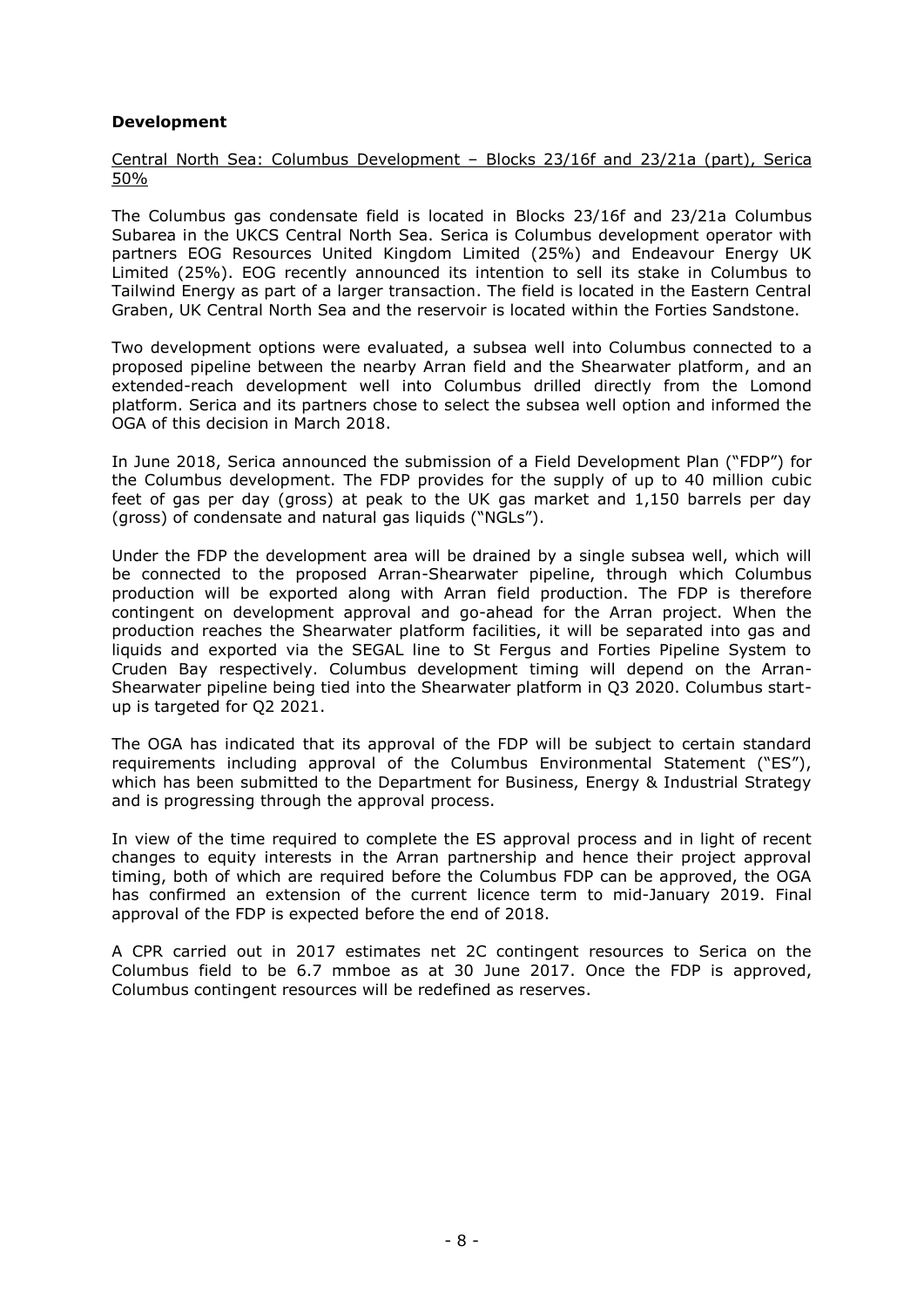# **Development**

Central North Sea: Columbus Development – Blocks 23/16f and 23/21a (part), Serica 50%

The Columbus gas condensate field is located in Blocks 23/16f and 23/21a Columbus Subarea in the UKCS Central North Sea. Serica is Columbus development operator with partners EOG Resources United Kingdom Limited (25%) and Endeavour Energy UK Limited (25%). EOG recently announced its intention to sell its stake in Columbus to Tailwind Energy as part of a larger transaction. The field is located in the Eastern Central Graben, UK Central North Sea and the reservoir is located within the Forties Sandstone.

Two development options were evaluated, a subsea well into Columbus connected to a proposed pipeline between the nearby Arran field and the Shearwater platform, and an extended-reach development well into Columbus drilled directly from the Lomond platform. Serica and its partners chose to select the subsea well option and informed the OGA of this decision in March 2018.

In June 2018, Serica announced the submission of a Field Development Plan ("FDP") for the Columbus development. The FDP provides for the supply of up to 40 million cubic feet of gas per day (gross) at peak to the UK gas market and 1,150 barrels per day (gross) of condensate and natural gas liquids ("NGLs").

Under the FDP the development area will be drained by a single subsea well, which will be connected to the proposed Arran-Shearwater pipeline, through which Columbus production will be exported along with Arran field production. The FDP is therefore contingent on development approval and go-ahead for the Arran project. When the production reaches the Shearwater platform facilities, it will be separated into gas and liquids and exported via the SEGAL line to St Fergus and Forties Pipeline System to Cruden Bay respectively. Columbus development timing will depend on the Arran-Shearwater pipeline being tied into the Shearwater platform in Q3 2020. Columbus startup is targeted for Q2 2021.

The OGA has indicated that its approval of the FDP will be subject to certain standard requirements including approval of the Columbus Environmental Statement ("ES"), which has been submitted to the Department for Business, Energy & Industrial Strategy and is progressing through the approval process.

In view of the time required to complete the ES approval process and in light of recent changes to equity interests in the Arran partnership and hence their project approval timing, both of which are required before the Columbus FDP can be approved, the OGA has confirmed an extension of the current licence term to mid-January 2019. Final approval of the FDP is expected before the end of 2018.

A CPR carried out in 2017 estimates net 2C contingent resources to Serica on the Columbus field to be 6.7 mmboe as at 30 June 2017. Once the FDP is approved, Columbus contingent resources will be redefined as reserves.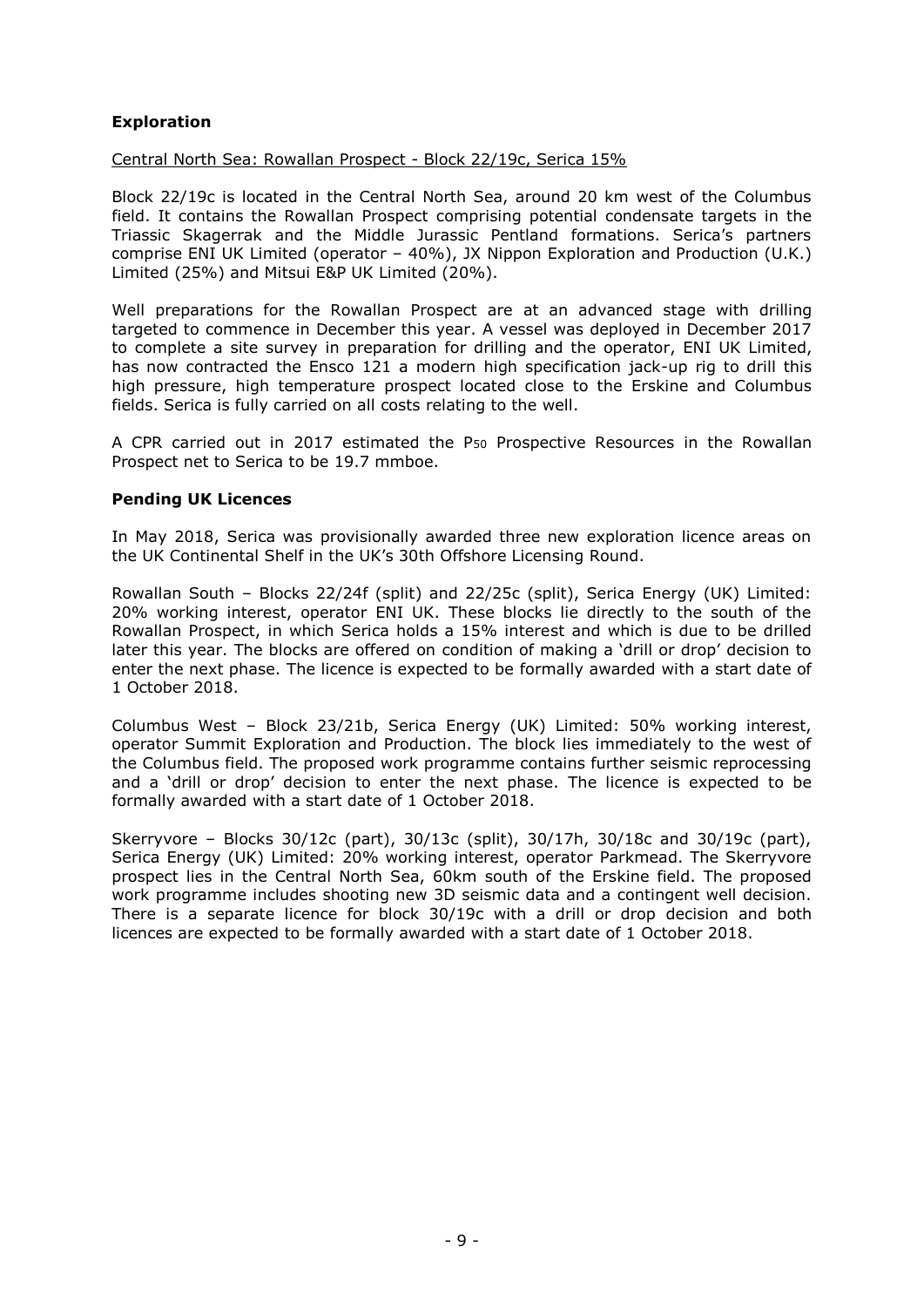# **Exploration**

Central North Sea: Rowallan Prospect - Block 22/19c, Serica 15%

Block 22/19c is located in the Central North Sea, around 20 km west of the Columbus field. It contains the Rowallan Prospect comprising potential condensate targets in the Triassic Skagerrak and the Middle Jurassic Pentland formations. Serica's partners comprise ENI UK Limited (operator – 40%), JX Nippon Exploration and Production (U.K.) Limited (25%) and Mitsui E&P UK Limited (20%).

Well preparations for the Rowallan Prospect are at an advanced stage with drilling targeted to commence in December this year. A vessel was deployed in December 2017 to complete a site survey in preparation for drilling and the operator, ENI UK Limited, has now contracted the Ensco 121 a modern high specification jack-up rig to drill this high pressure, high temperature prospect located close to the Erskine and Columbus fields. Serica is fully carried on all costs relating to the well.

A CPR carried out in 2017 estimated the P<sup>50</sup> Prospective Resources in the Rowallan Prospect net to Serica to be 19.7 mmboe.

# **Pending UK Licences**

In May 2018, Serica was provisionally awarded three new exploration licence areas on the UK Continental Shelf in the UK's 30th Offshore Licensing Round.

Rowallan South – Blocks 22/24f (split) and 22/25c (split), Serica Energy (UK) Limited: 20% working interest, operator ENI UK. These blocks lie directly to the south of the Rowallan Prospect, in which Serica holds a 15% interest and which is due to be drilled later this year. The blocks are offered on condition of making a 'drill or drop' decision to enter the next phase. The licence is expected to be formally awarded with a start date of 1 October 2018.

Columbus West – Block 23/21b, Serica Energy (UK) Limited: 50% working interest, operator Summit Exploration and Production. The block lies immediately to the west of the Columbus field. The proposed work programme contains further seismic reprocessing and a 'drill or drop' decision to enter the next phase. The licence is expected to be formally awarded with a start date of 1 October 2018.

Skerryvore – Blocks 30/12c (part), 30/13c (split), 30/17h, 30/18c and 30/19c (part), Serica Energy (UK) Limited: 20% working interest, operator Parkmead. The Skerryvore prospect lies in the Central North Sea, 60km south of the Erskine field. The proposed work programme includes shooting new 3D seismic data and a contingent well decision. There is a separate licence for block 30/19c with a drill or drop decision and both licences are expected to be formally awarded with a start date of 1 October 2018.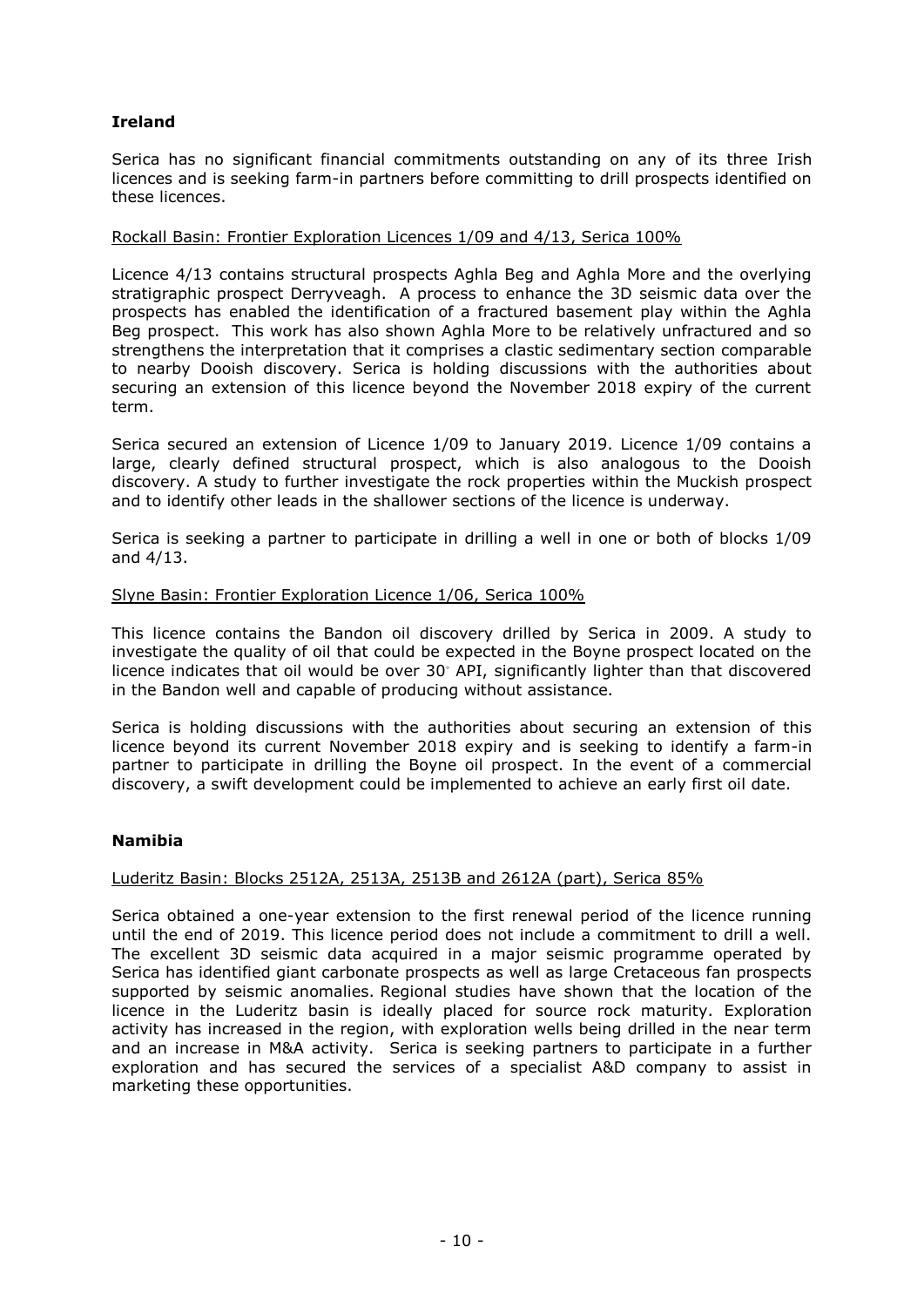# **Ireland**

Serica has no significant financial commitments outstanding on any of its three Irish licences and is seeking farm-in partners before committing to drill prospects identified on these licences.

# Rockall Basin: Frontier Exploration Licences 1/09 and 4/13, Serica 100%

Licence 4/13 contains structural prospects Aghla Beg and Aghla More and the overlying stratigraphic prospect Derryveagh. A process to enhance the 3D seismic data over the prospects has enabled the identification of a fractured basement play within the Aghla Beg prospect. This work has also shown Aghla More to be relatively unfractured and so strengthens the interpretation that it comprises a clastic sedimentary section comparable to nearby Dooish discovery. Serica is holding discussions with the authorities about securing an extension of this licence beyond the November 2018 expiry of the current term.

Serica secured an extension of Licence 1/09 to January 2019. Licence 1/09 contains a large, clearly defined structural prospect, which is also analogous to the Dooish discovery. A study to further investigate the rock properties within the Muckish prospect and to identify other leads in the shallower sections of the licence is underway.

Serica is seeking a partner to participate in drilling a well in one or both of blocks 1/09 and 4/13.

# Slyne Basin: Frontier Exploration Licence 1/06, Serica 100%

This licence contains the Bandon oil discovery drilled by Serica in 2009. A study to investigate the quality of oil that could be expected in the Boyne prospect located on the licence indicates that oil would be over 30◦ API, significantly lighter than that discovered in the Bandon well and capable of producing without assistance.

Serica is holding discussions with the authorities about securing an extension of this licence beyond its current November 2018 expiry and is seeking to identify a farm-in partner to participate in drilling the Boyne oil prospect. In the event of a commercial discovery, a swift development could be implemented to achieve an early first oil date.

# **Namibia**

# Luderitz Basin: Blocks 2512A, 2513A, 2513B and 2612A (part), Serica 85%

Serica obtained a one-year extension to the first renewal period of the licence running until the end of 2019. This licence period does not include a commitment to drill a well. The excellent 3D seismic data acquired in a major seismic programme operated by Serica has identified giant carbonate prospects as well as large Cretaceous fan prospects supported by seismic anomalies. Regional studies have shown that the location of the licence in the Luderitz basin is ideally placed for source rock maturity. Exploration activity has increased in the region, with exploration wells being drilled in the near term and an increase in M&A activity. Serica is seeking partners to participate in a further exploration and has secured the services of a specialist A&D company to assist in marketing these opportunities.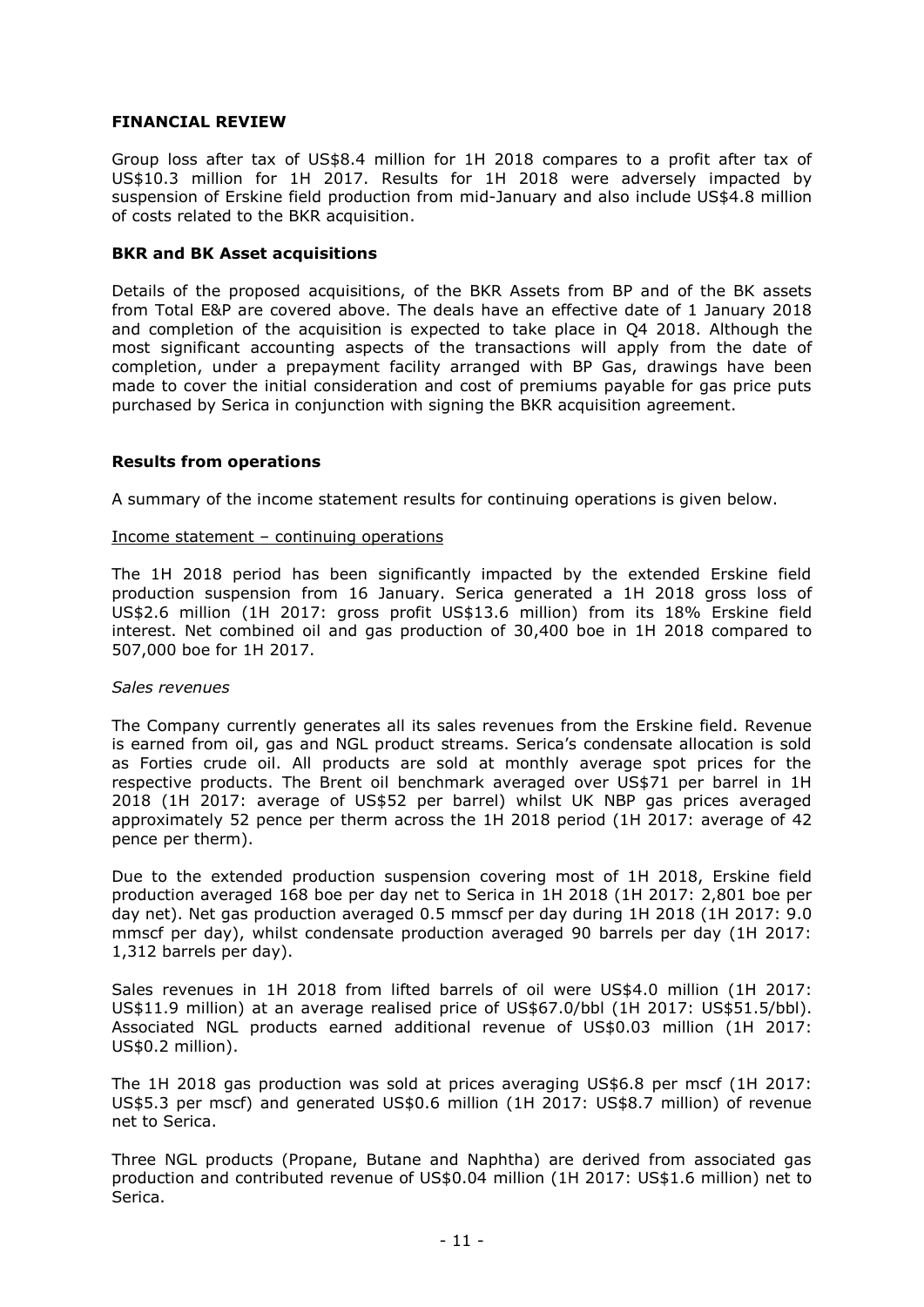# **FINANCIAL REVIEW**

Group loss after tax of US\$8.4 million for 1H 2018 compares to a profit after tax of US\$10.3 million for 1H 2017. Results for 1H 2018 were adversely impacted by suspension of Erskine field production from mid-January and also include US\$4.8 million of costs related to the BKR acquisition.

### **BKR and BK Asset acquisitions**

Details of the proposed acquisitions, of the BKR Assets from BP and of the BK assets from Total E&P are covered above. The deals have an effective date of 1 January 2018 and completion of the acquisition is expected to take place in Q4 2018. Although the most significant accounting aspects of the transactions will apply from the date of completion, under a prepayment facility arranged with BP Gas, drawings have been made to cover the initial consideration and cost of premiums payable for gas price puts purchased by Serica in conjunction with signing the BKR acquisition agreement.

# **Results from operations**

A summary of the income statement results for continuing operations is given below.

#### Income statement – continuing operations

The 1H 2018 period has been significantly impacted by the extended Erskine field production suspension from 16 January. Serica generated a 1H 2018 gross loss of US\$2.6 million (1H 2017: gross profit US\$13.6 million) from its 18% Erskine field interest. Net combined oil and gas production of 30,400 boe in 1H 2018 compared to 507,000 boe for 1H 2017.

#### *Sales revenues*

The Company currently generates all its sales revenues from the Erskine field. Revenue is earned from oil, gas and NGL product streams. Serica's condensate allocation is sold as Forties crude oil. All products are sold at monthly average spot prices for the respective products. The Brent oil benchmark averaged over US\$71 per barrel in 1H 2018 (1H 2017: average of US\$52 per barrel) whilst UK NBP gas prices averaged approximately 52 pence per therm across the 1H 2018 period (1H 2017: average of 42 pence per therm).

Due to the extended production suspension covering most of 1H 2018, Erskine field production averaged 168 boe per day net to Serica in 1H 2018 (1H 2017: 2,801 boe per day net). Net gas production averaged 0.5 mmscf per day during 1H 2018 (1H 2017: 9.0 mmscf per day), whilst condensate production averaged 90 barrels per day (1H 2017: 1,312 barrels per day).

Sales revenues in 1H 2018 from lifted barrels of oil were US\$4.0 million (1H 2017: US\$11.9 million) at an average realised price of US\$67.0/bbl (1H 2017: US\$51.5/bbl). Associated NGL products earned additional revenue of US\$0.03 million (1H 2017: US\$0.2 million).

The 1H 2018 gas production was sold at prices averaging US\$6.8 per mscf (1H 2017: US\$5.3 per mscf) and generated US\$0.6 million (1H 2017: US\$8.7 million) of revenue net to Serica.

Three NGL products (Propane, Butane and Naphtha) are derived from associated gas production and contributed revenue of US\$0.04 million (1H 2017: US\$1.6 million) net to Serica.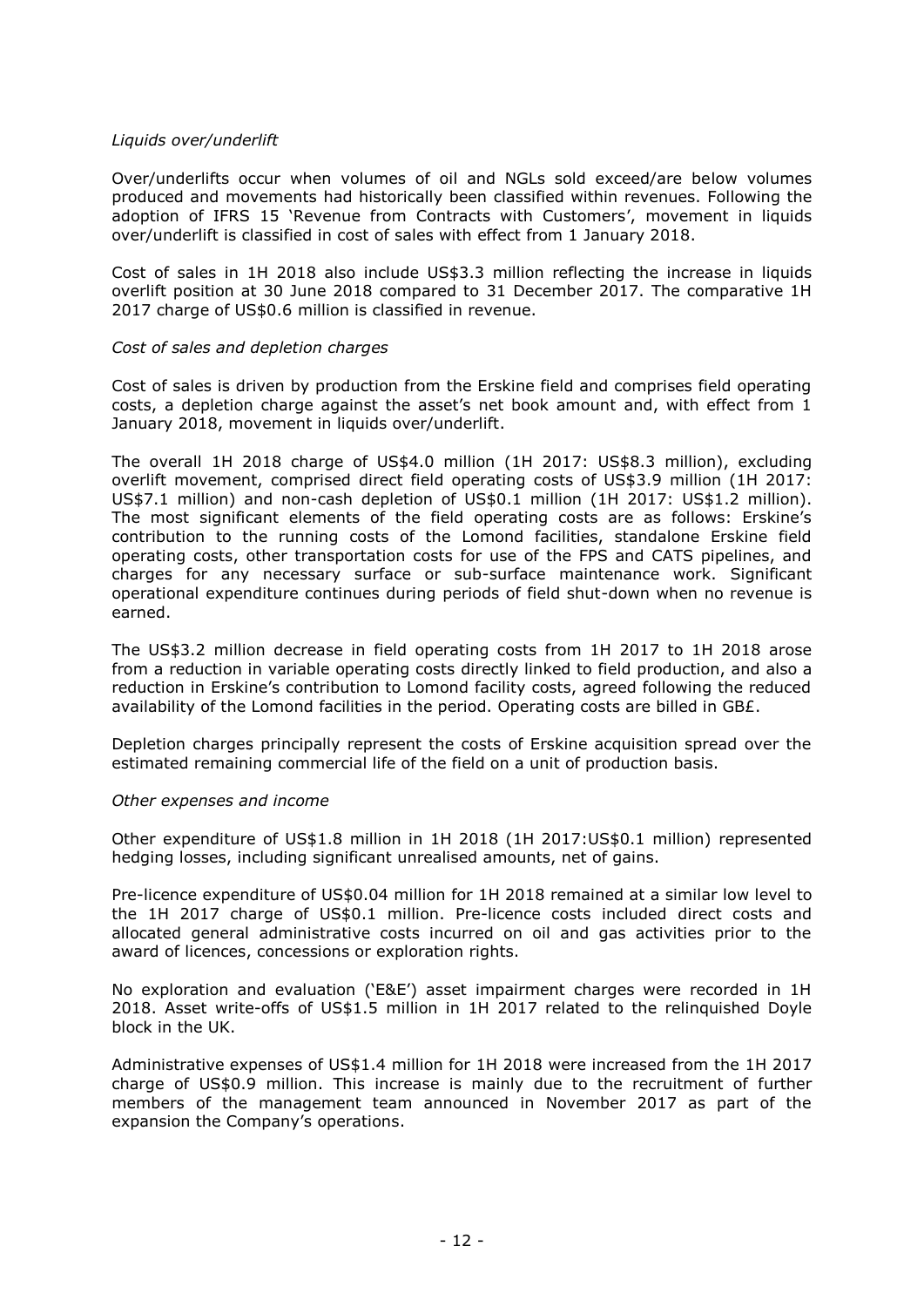# *Liquids over/underlift*

Over/underlifts occur when volumes of oil and NGLs sold exceed/are below volumes produced and movements had historically been classified within revenues. Following the adoption of IFRS 15 'Revenue from Contracts with Customers', movement in liquids over/underlift is classified in cost of sales with effect from 1 January 2018.

Cost of sales in 1H 2018 also include US\$3.3 million reflecting the increase in liquids overlift position at 30 June 2018 compared to 31 December 2017. The comparative 1H 2017 charge of US\$0.6 million is classified in revenue.

# *Cost of sales and depletion charges*

Cost of sales is driven by production from the Erskine field and comprises field operating costs, a depletion charge against the asset's net book amount and, with effect from 1 January 2018, movement in liquids over/underlift.

The overall 1H 2018 charge of US\$4.0 million (1H 2017: US\$8.3 million), excluding overlift movement, comprised direct field operating costs of US\$3.9 million (1H 2017: US\$7.1 million) and non-cash depletion of US\$0.1 million (1H 2017: US\$1.2 million). The most significant elements of the field operating costs are as follows: Erskine's contribution to the running costs of the Lomond facilities, standalone Erskine field operating costs, other transportation costs for use of the FPS and CATS pipelines, and charges for any necessary surface or sub-surface maintenance work. Significant operational expenditure continues during periods of field shut-down when no revenue is earned.

The US\$3.2 million decrease in field operating costs from 1H 2017 to 1H 2018 arose from a reduction in variable operating costs directly linked to field production, and also a reduction in Erskine's contribution to Lomond facility costs, agreed following the reduced availability of the Lomond facilities in the period. Operating costs are billed in GB£.

Depletion charges principally represent the costs of Erskine acquisition spread over the estimated remaining commercial life of the field on a unit of production basis.

# *Other expenses and income*

Other expenditure of US\$1.8 million in 1H 2018 (1H 2017:US\$0.1 million) represented hedging losses, including significant unrealised amounts, net of gains.

Pre-licence expenditure of US\$0.04 million for 1H 2018 remained at a similar low level to the 1H 2017 charge of US\$0.1 million. Pre-licence costs included direct costs and allocated general administrative costs incurred on oil and gas activities prior to the award of licences, concessions or exploration rights.

No exploration and evaluation ('E&E') asset impairment charges were recorded in 1H 2018. Asset write-offs of US\$1.5 million in 1H 2017 related to the relinquished Doyle block in the UK.

Administrative expenses of US\$1.4 million for 1H 2018 were increased from the 1H 2017 charge of US\$0.9 million. This increase is mainly due to the recruitment of further members of the management team announced in November 2017 as part of the expansion the Company's operations.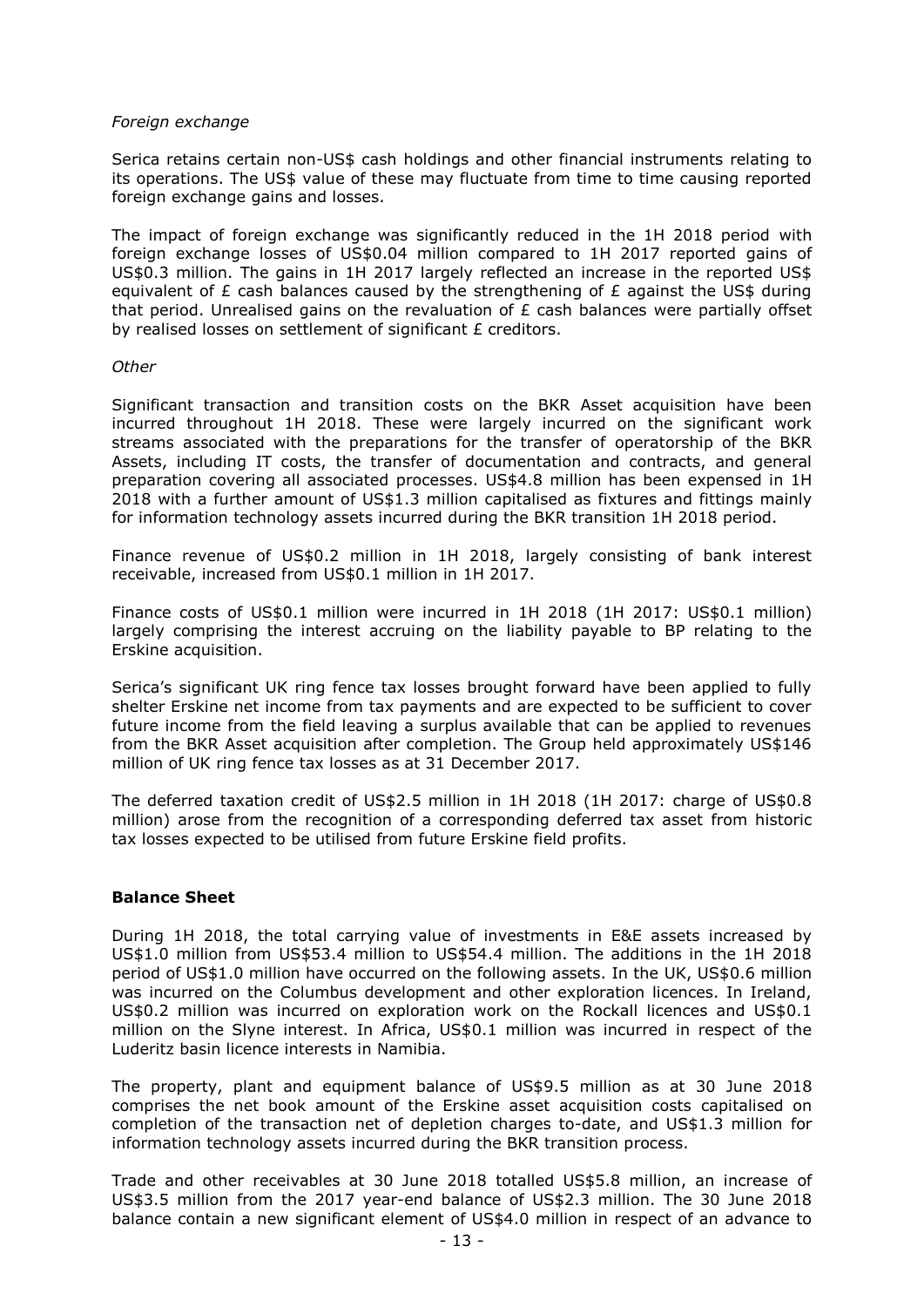# *Foreign exchange*

Serica retains certain non-US\$ cash holdings and other financial instruments relating to its operations. The US\$ value of these may fluctuate from time to time causing reported foreign exchange gains and losses.

The impact of foreign exchange was significantly reduced in the 1H 2018 period with foreign exchange losses of US\$0.04 million compared to 1H 2017 reported gains of US\$0.3 million. The gains in 1H 2017 largely reflected an increase in the reported US\$ equivalent of  $E$  cash balances caused by the strengthening of  $E$  against the US\$ during that period. Unrealised gains on the revaluation of  $E$  cash balances were partially offset by realised losses on settlement of significant £ creditors.

### *Other*

Significant transaction and transition costs on the BKR Asset acquisition have been incurred throughout 1H 2018. These were largely incurred on the significant work streams associated with the preparations for the transfer of operatorship of the BKR Assets, including IT costs, the transfer of documentation and contracts, and general preparation covering all associated processes. US\$4.8 million has been expensed in 1H 2018 with a further amount of US\$1.3 million capitalised as fixtures and fittings mainly for information technology assets incurred during the BKR transition 1H 2018 period.

Finance revenue of US\$0.2 million in 1H 2018, largely consisting of bank interest receivable, increased from US\$0.1 million in 1H 2017.

Finance costs of US\$0.1 million were incurred in 1H 2018 (1H 2017: US\$0.1 million) largely comprising the interest accruing on the liability payable to BP relating to the Erskine acquisition.

Serica's significant UK ring fence tax losses brought forward have been applied to fully shelter Erskine net income from tax payments and are expected to be sufficient to cover future income from the field leaving a surplus available that can be applied to revenues from the BKR Asset acquisition after completion. The Group held approximately US\$146 million of UK ring fence tax losses as at 31 December 2017.

The deferred taxation credit of US\$2.5 million in 1H 2018 (1H 2017: charge of US\$0.8 million) arose from the recognition of a corresponding deferred tax asset from historic tax losses expected to be utilised from future Erskine field profits.

# **Balance Sheet**

During 1H 2018, the total carrying value of investments in E&E assets increased by US\$1.0 million from US\$53.4 million to US\$54.4 million. The additions in the 1H 2018 period of US\$1.0 million have occurred on the following assets. In the UK, US\$0.6 million was incurred on the Columbus development and other exploration licences. In Ireland, US\$0.2 million was incurred on exploration work on the Rockall licences and US\$0.1 million on the Slyne interest. In Africa, US\$0.1 million was incurred in respect of the Luderitz basin licence interests in Namibia.

The property, plant and equipment balance of US\$9.5 million as at 30 June 2018 comprises the net book amount of the Erskine asset acquisition costs capitalised on completion of the transaction net of depletion charges to-date, and US\$1.3 million for information technology assets incurred during the BKR transition process.

Trade and other receivables at 30 June 2018 totalled US\$5.8 million, an increase of US\$3.5 million from the 2017 year-end balance of US\$2.3 million. The 30 June 2018 balance contain a new significant element of US\$4.0 million in respect of an advance to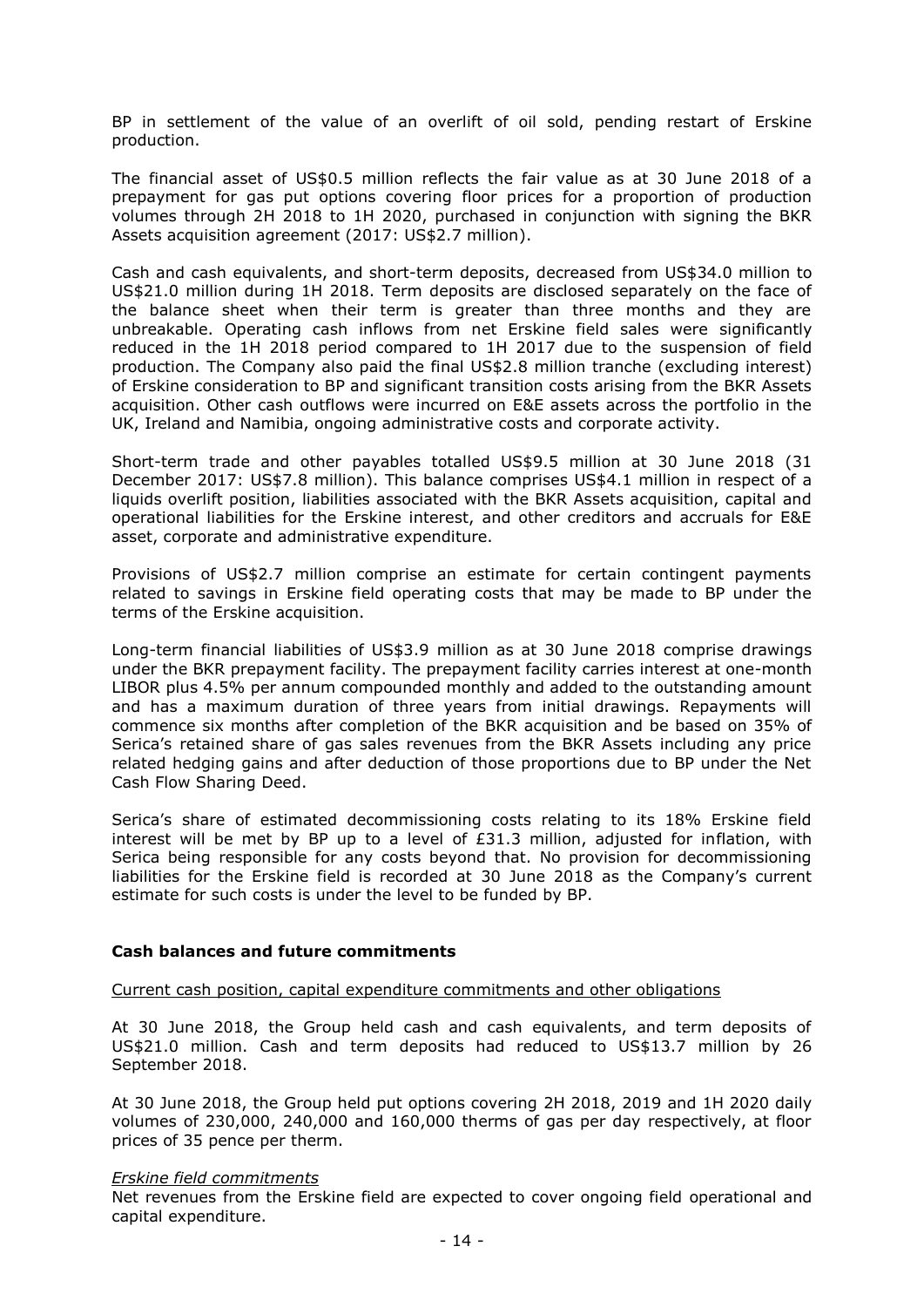BP in settlement of the value of an overlift of oil sold, pending restart of Erskine production.

The financial asset of US\$0.5 million reflects the fair value as at 30 June 2018 of a prepayment for gas put options covering floor prices for a proportion of production volumes through 2H 2018 to 1H 2020, purchased in conjunction with signing the BKR Assets acquisition agreement (2017: US\$2.7 million).

Cash and cash equivalents, and short-term deposits, decreased from US\$34.0 million to US\$21.0 million during 1H 2018. Term deposits are disclosed separately on the face of the balance sheet when their term is greater than three months and they are unbreakable. Operating cash inflows from net Erskine field sales were significantly reduced in the 1H 2018 period compared to 1H 2017 due to the suspension of field production. The Company also paid the final US\$2.8 million tranche (excluding interest) of Erskine consideration to BP and significant transition costs arising from the BKR Assets acquisition. Other cash outflows were incurred on E&E assets across the portfolio in the UK, Ireland and Namibia, ongoing administrative costs and corporate activity.

Short-term trade and other payables totalled US\$9.5 million at 30 June 2018 (31 December 2017: US\$7.8 million). This balance comprises US\$4.1 million in respect of a liquids overlift position, liabilities associated with the BKR Assets acquisition, capital and operational liabilities for the Erskine interest, and other creditors and accruals for E&E asset, corporate and administrative expenditure.

Provisions of US\$2.7 million comprise an estimate for certain contingent payments related to savings in Erskine field operating costs that may be made to BP under the terms of the Erskine acquisition.

Long-term financial liabilities of US\$3.9 million as at 30 June 2018 comprise drawings under the BKR prepayment facility. The prepayment facility carries interest at one-month LIBOR plus 4.5% per annum compounded monthly and added to the outstanding amount and has a maximum duration of three years from initial drawings. Repayments will commence six months after completion of the BKR acquisition and be based on 35% of Serica's retained share of gas sales revenues from the BKR Assets including any price related hedging gains and after deduction of those proportions due to BP under the Net Cash Flow Sharing Deed.

Serica's share of estimated decommissioning costs relating to its 18% Erskine field interest will be met by BP up to a level of £31.3 million, adjusted for inflation, with Serica being responsible for any costs beyond that. No provision for decommissioning liabilities for the Erskine field is recorded at 30 June 2018 as the Company's current estimate for such costs is under the level to be funded by BP.

# **Cash balances and future commitments**

#### Current cash position, capital expenditure commitments and other obligations

At 30 June 2018, the Group held cash and cash equivalents, and term deposits of US\$21.0 million. Cash and term deposits had reduced to US\$13.7 million by 26 September 2018.

At 30 June 2018, the Group held put options covering 2H 2018, 2019 and 1H 2020 daily volumes of 230,000, 240,000 and 160,000 therms of gas per day respectively, at floor prices of 35 pence per therm.

#### *Erskine field commitments*

Net revenues from the Erskine field are expected to cover ongoing field operational and capital expenditure.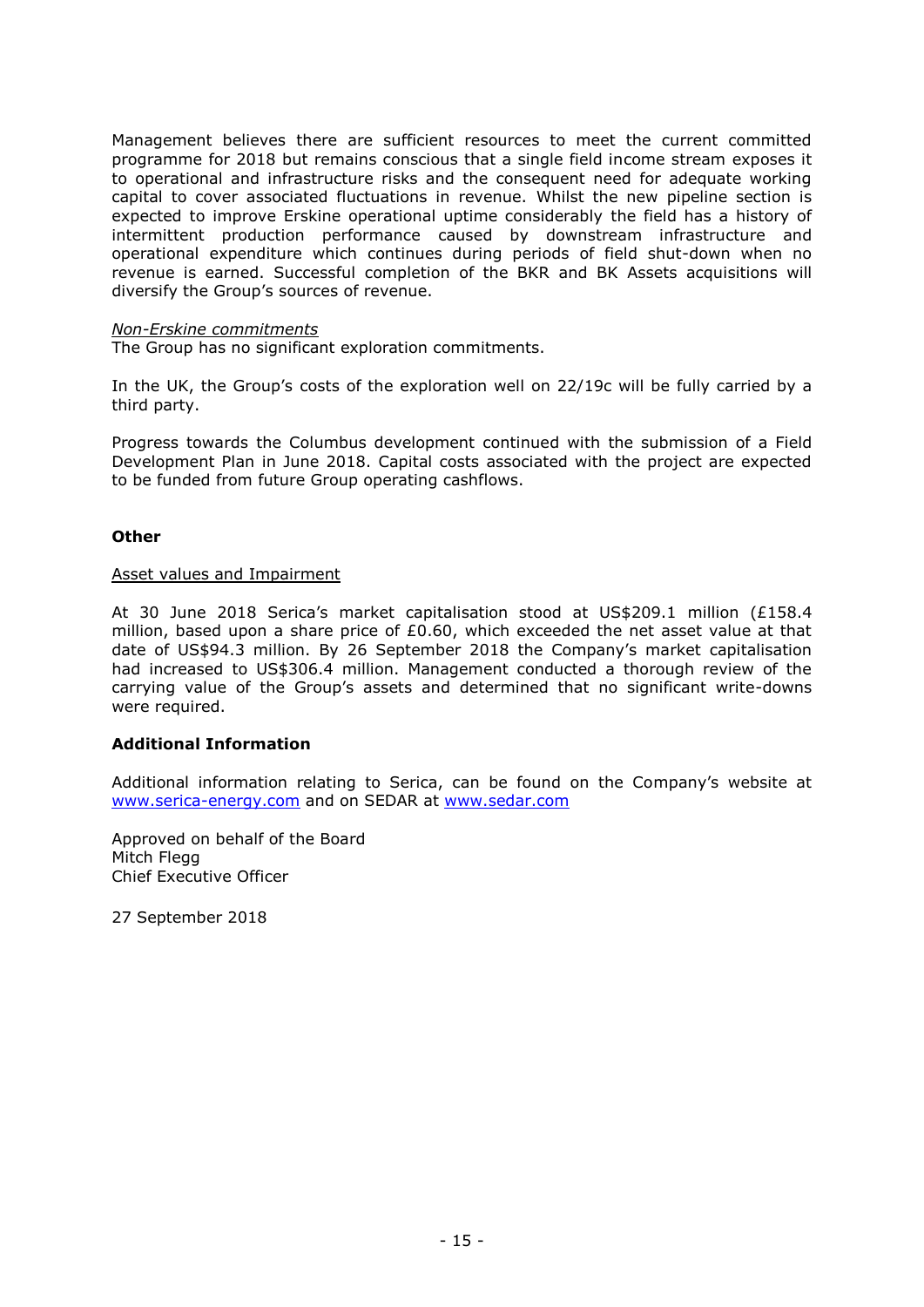Management believes there are sufficient resources to meet the current committed programme for 2018 but remains conscious that a single field income stream exposes it to operational and infrastructure risks and the consequent need for adequate working capital to cover associated fluctuations in revenue. Whilst the new pipeline section is expected to improve Erskine operational uptime considerably the field has a history of intermittent production performance caused by downstream infrastructure and operational expenditure which continues during periods of field shut-down when no revenue is earned. Successful completion of the BKR and BK Assets acquisitions will diversify the Group's sources of revenue.

# *Non-Erskine commitments*

The Group has no significant exploration commitments.

In the UK, the Group's costs of the exploration well on 22/19c will be fully carried by a third party.

Progress towards the Columbus development continued with the submission of a Field Development Plan in June 2018. Capital costs associated with the project are expected to be funded from future Group operating cashflows.

# **Other**

### Asset values and Impairment

At 30 June 2018 Serica's market capitalisation stood at US\$209.1 million (£158.4 million, based upon a share price of  $£0.60$ , which exceeded the net asset value at that date of US\$94.3 million. By 26 September 2018 the Company's market capitalisation had increased to US\$306.4 million. Management conducted a thorough review of the carrying value of the Group's assets and determined that no significant write-downs were required.

# **Additional Information**

Additional information relating to Serica, can be found on the Company's website at www.serica-energy.com and on SEDAR at [www.sedar.com](http://www.sedar.com/)

Approved on behalf of the Board Mitch Flegg Chief Executive Officer

27 September 2018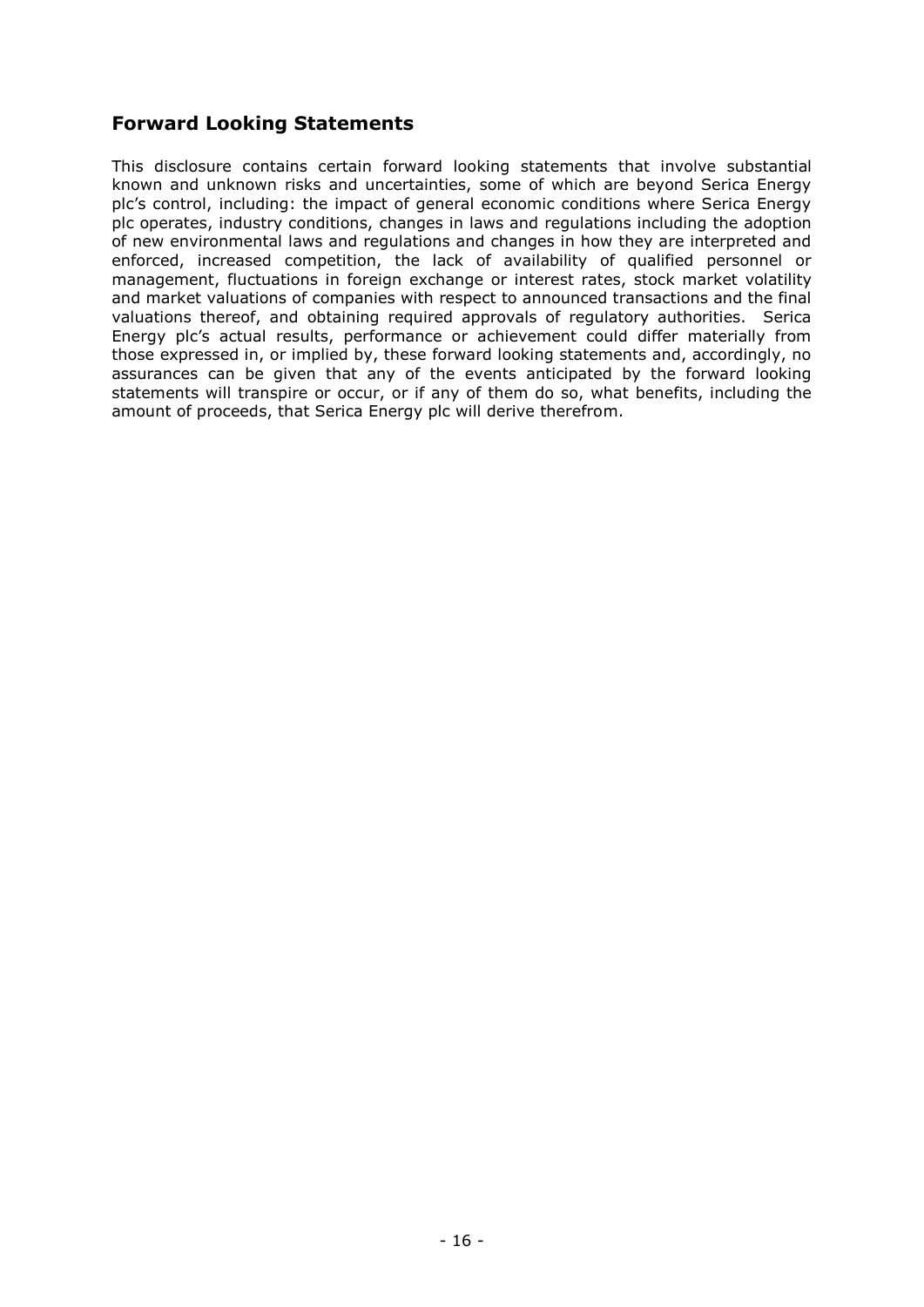# **Forward Looking Statements**

This disclosure contains certain forward looking statements that involve substantial known and unknown risks and uncertainties, some of which are beyond Serica Energy plc's control, including: the impact of general economic conditions where Serica Energy plc operates, industry conditions, changes in laws and regulations including the adoption of new environmental laws and regulations and changes in how they are interpreted and enforced, increased competition, the lack of availability of qualified personnel or management, fluctuations in foreign exchange or interest rates, stock market volatility and market valuations of companies with respect to announced transactions and the final valuations thereof, and obtaining required approvals of regulatory authorities. Serica Energy plc's actual results, performance or achievement could differ materially from those expressed in, or implied by, these forward looking statements and, accordingly, no assurances can be given that any of the events anticipated by the forward looking statements will transpire or occur, or if any of them do so, what benefits, including the amount of proceeds, that Serica Energy plc will derive therefrom.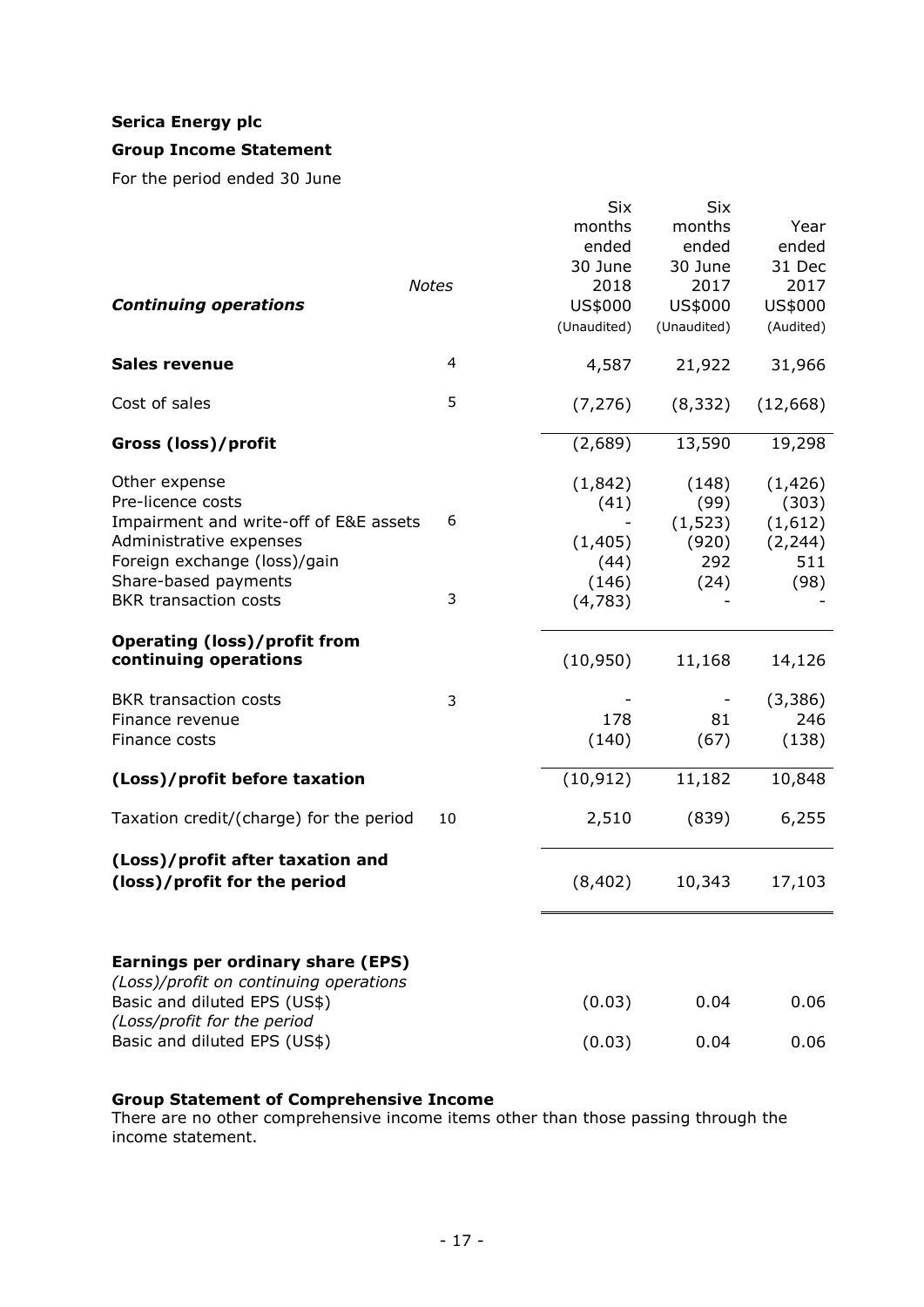# **Serica Energy plc**

# **Group Income Statement**

For the period ended 30 June

|                                                                        |              | <b>Six</b>  | <b>Six</b>  |           |
|------------------------------------------------------------------------|--------------|-------------|-------------|-----------|
|                                                                        |              | months      | months      | Year      |
|                                                                        |              | ended       | ended       | ended     |
|                                                                        |              | 30 June     | 30 June     | 31 Dec    |
|                                                                        | <b>Notes</b> | 2018        | 2017        | 2017      |
| <b>Continuing operations</b>                                           |              | US\$000     | US\$000     | US\$000   |
|                                                                        |              | (Unaudited) | (Unaudited) | (Audited) |
| <b>Sales revenue</b>                                                   | 4            | 4,587       | 21,922      | 31,966    |
| Cost of sales                                                          | 5            | (7, 276)    | (8, 332)    | (12, 668) |
| Gross (loss)/profit                                                    |              | (2,689)     | 13,590      | 19,298    |
| Other expense                                                          |              | (1, 842)    | (148)       | (1, 426)  |
| Pre-licence costs                                                      |              | (41)        | (99)        | (303)     |
| Impairment and write-off of E&E assets                                 | 6            |             | (1, 523)    | (1,612)   |
| Administrative expenses                                                |              | (1, 405)    | (920)       | (2, 244)  |
| Foreign exchange (loss)/gain                                           |              | (44)        | 292         | 511       |
| Share-based payments                                                   |              | (146)       | (24)        | (98)      |
| <b>BKR</b> transaction costs                                           | 3            | (4, 783)    |             |           |
| <b>Operating (loss)/profit from</b><br>continuing operations           |              | (10, 950)   | 11,168      | 14,126    |
| <b>BKR</b> transaction costs                                           | 3            |             |             | (3,386)   |
| Finance revenue                                                        |              | 178         | 81          | 246       |
| Finance costs                                                          |              | (140)       | (67)        | (138)     |
| (Loss)/profit before taxation                                          |              | (10, 912)   | 11,182      | 10,848    |
| Taxation credit/(charge) for the period                                | 10           | 2,510       | (839)       | 6,255     |
| (Loss)/profit after taxation and<br>(loss)/profit for the period       |              | (8, 402)    | 10,343      | 17,103    |
| <b>Earnings per ordinary share (EPS)</b>                               |              |             |             |           |
| (Loss)/profit on continuing operations<br>Basic and diluted EPS (US\$) |              | (0.03)      | 0.04        | 0.06      |
| (Loss/profit for the period<br>Basic and diluted EPS (US\$)            |              | (0.03)      | 0.04        | 0.06      |

# **Group Statement of Comprehensive Income**

There are no other comprehensive income items other than those passing through the income statement.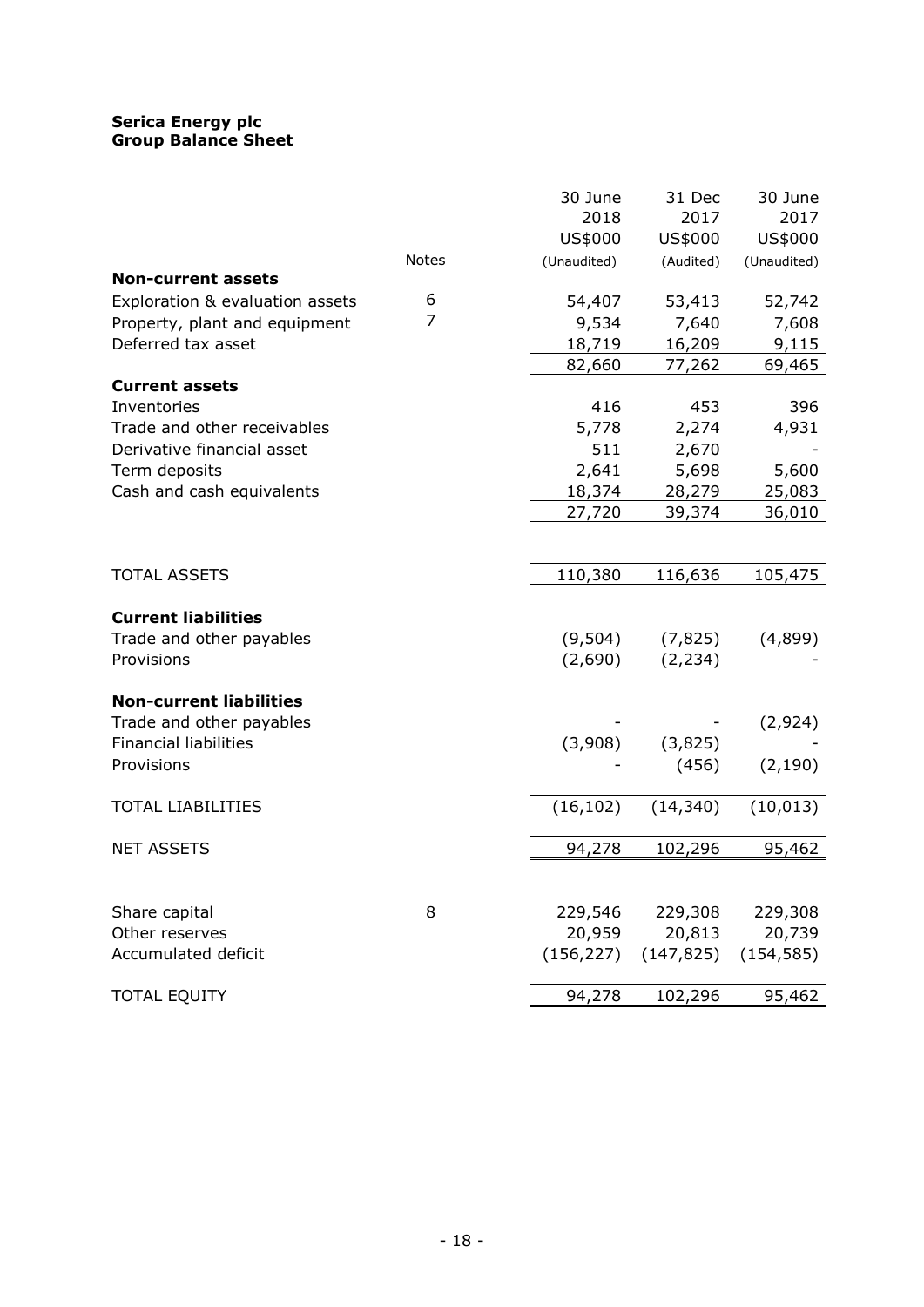# **Serica Energy plc Group Balance Sheet**

|                                 |              | 30 June     | 31 Dec     | 30 June     |
|---------------------------------|--------------|-------------|------------|-------------|
|                                 |              | 2018        | 2017       | 2017        |
|                                 |              | US\$000     | US\$000    | US\$000     |
|                                 | <b>Notes</b> | (Unaudited) | (Audited)  | (Unaudited) |
| <b>Non-current assets</b>       |              |             |            |             |
| Exploration & evaluation assets | 6            | 54,407      | 53,413     | 52,742      |
| Property, plant and equipment   | 7            | 9,534       | 7,640      | 7,608       |
| Deferred tax asset              |              | 18,719      | 16,209     | 9,115       |
|                                 |              | 82,660      | 77,262     | 69,465      |
| <b>Current assets</b>           |              |             |            |             |
| Inventories                     |              | 416         | 453        | 396         |
| Trade and other receivables     |              | 5,778       | 2,274      | 4,931       |
| Derivative financial asset      |              | 511         | 2,670      |             |
| Term deposits                   |              | 2,641       | 5,698      | 5,600       |
| Cash and cash equivalents       |              | 18,374      | 28,279     | 25,083      |
|                                 |              | 27,720      | 39,374     | 36,010      |
|                                 |              |             |            |             |
| <b>TOTAL ASSETS</b>             |              | 110,380     | 116,636    | 105,475     |
| <b>Current liabilities</b>      |              |             |            |             |
| Trade and other payables        |              | (9,504)     | (7, 825)   | (4,899)     |
| Provisions                      |              | (2,690)     | (2, 234)   |             |
| <b>Non-current liabilities</b>  |              |             |            |             |
| Trade and other payables        |              |             |            | (2,924)     |
| <b>Financial liabilities</b>    |              | (3,908)     | (3,825)    |             |
| Provisions                      |              |             | (456)      | (2, 190)    |
| <b>TOTAL LIABILITIES</b>        |              | (16, 102)   | (14,340)   | (10, 013)   |
|                                 |              |             |            |             |
| <b>NET ASSETS</b>               |              | 94,278      | 102,296    | 95,462      |
|                                 |              |             |            |             |
| Share capital                   | 8            | 229,546     | 229,308    | 229,308     |
| Other reserves                  |              | 20,959      | 20,813     | 20,739      |
| Accumulated deficit             |              | (156, 227)  | (147, 825) | (154, 585)  |
| <b>TOTAL EQUITY</b>             |              | 94,278      | 102,296    | 95,462      |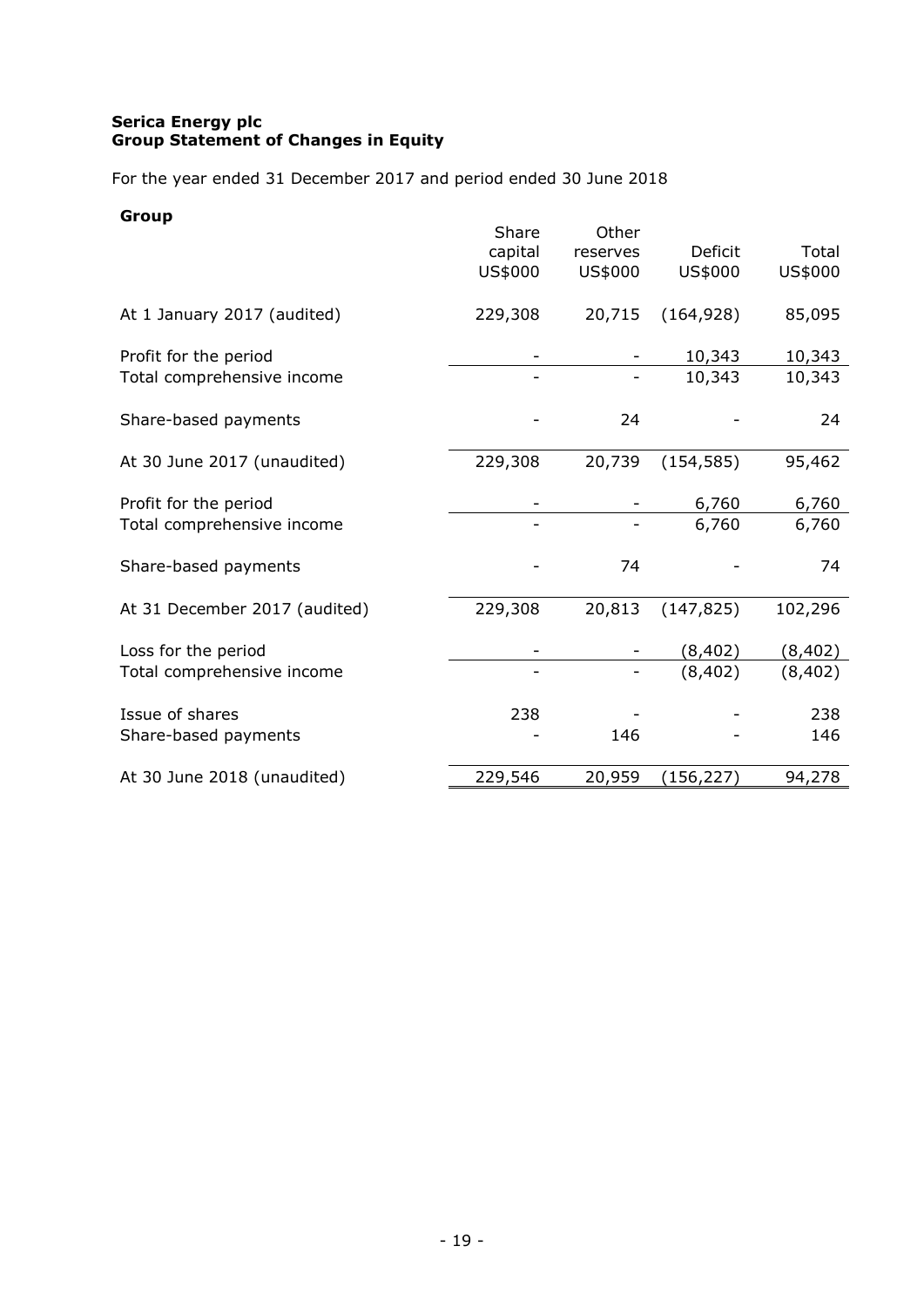# **Serica Energy plc Group Statement of Changes in Equity**

For the year ended 31 December 2017 and period ended 30 June 2018

# **Group**

|                               | Share<br>capital<br>US\$000 | Other<br>reserves<br>US\$000 | Deficit<br>US\$000 | Total<br>US\$000 |
|-------------------------------|-----------------------------|------------------------------|--------------------|------------------|
| At 1 January 2017 (audited)   | 229,308                     | 20,715                       | (164, 928)         | 85,095           |
| Profit for the period         |                             |                              | 10,343             | 10,343           |
| Total comprehensive income    |                             |                              | 10,343             | 10,343           |
| Share-based payments          |                             | 24                           |                    | 24               |
| At 30 June 2017 (unaudited)   | 229,308                     | 20,739                       | (154, 585)         | 95,462           |
| Profit for the period         |                             |                              | 6,760              | 6,760            |
| Total comprehensive income    |                             |                              | 6,760              | 6,760            |
| Share-based payments          |                             | 74                           |                    | 74               |
| At 31 December 2017 (audited) | 229,308                     | 20,813                       | (147, 825)         | 102,296          |
| Loss for the period           |                             |                              | (8, 402)           | (8, 402)         |
| Total comprehensive income    |                             |                              | (8, 402)           | (8, 402)         |
| Issue of shares               | 238                         |                              |                    | 238              |
| Share-based payments          |                             | 146                          |                    | 146              |
| At 30 June 2018 (unaudited)   | 229,546                     | 20,959                       | (156, 227)         | 94,278           |
|                               |                             |                              |                    |                  |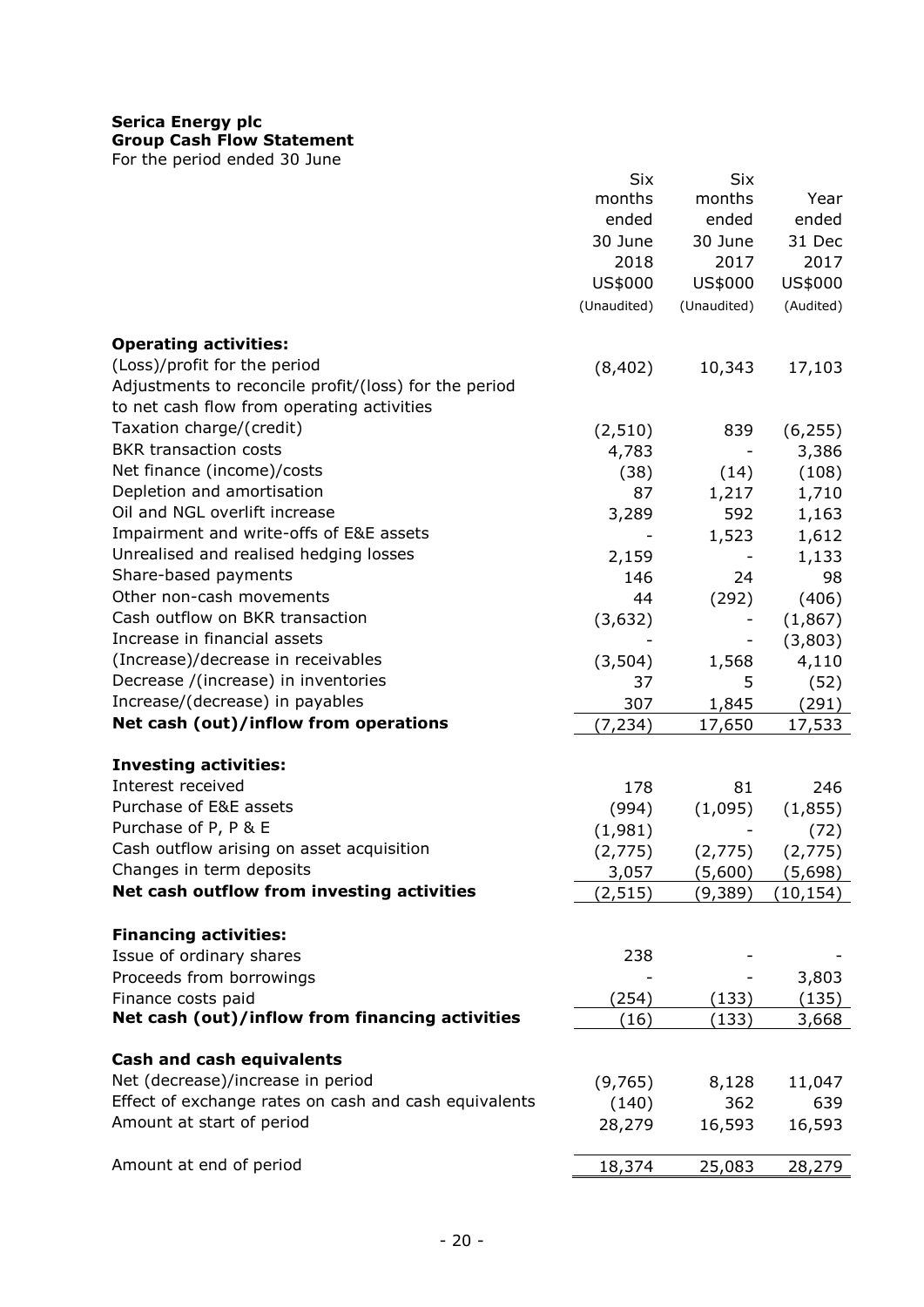# **Serica Energy plc**

**Group Cash Flow Statement**

For the period ended 30 June

|                                                       | Six         | Six                      |           |
|-------------------------------------------------------|-------------|--------------------------|-----------|
|                                                       | months      | months                   | Year      |
|                                                       | ended       | ended                    | ended     |
|                                                       | 30 June     | 30 June                  | 31 Dec    |
|                                                       | 2018        | 2017                     | 2017      |
|                                                       |             |                          | US\$000   |
|                                                       | US\$000     | US\$000                  |           |
|                                                       | (Unaudited) | (Unaudited)              | (Audited) |
| <b>Operating activities:</b>                          |             |                          |           |
| (Loss)/profit for the period                          | (8, 402)    | 10,343                   | 17,103    |
| Adjustments to reconcile profit/(loss) for the period |             |                          |           |
| to net cash flow from operating activities            |             |                          |           |
| Taxation charge/(credit)                              |             |                          |           |
|                                                       | (2, 510)    | 839                      | (6, 255)  |
| <b>BKR</b> transaction costs                          | 4,783       | $\overline{\phantom{0}}$ | 3,386     |
| Net finance (income)/costs                            | (38)        | (14)                     | (108)     |
| Depletion and amortisation                            | 87          | 1,217                    | 1,710     |
| Oil and NGL overlift increase                         | 3,289       | 592                      | 1,163     |
| Impairment and write-offs of E&E assets               |             | 1,523                    | 1,612     |
| Unrealised and realised hedging losses                | 2,159       |                          | 1,133     |
| Share-based payments                                  | 146         | 24                       | 98        |
| Other non-cash movements                              | 44          | (292)                    |           |
| Cash outflow on BKR transaction                       |             |                          | (406)     |
|                                                       | (3,632)     |                          | (1, 867)  |
| Increase in financial assets                          |             | -                        | (3,803)   |
| (Increase)/decrease in receivables                    | (3, 504)    | 1,568                    | 4,110     |
| Decrease /(increase) in inventories                   | 37          | 5                        | (52)      |
| Increase/(decrease) in payables                       | 307         | 1,845                    | (291)     |
| Net cash (out)/inflow from operations                 | (7, 234)    | 17,650                   | 17,533    |
| <b>Investing activities:</b>                          |             |                          |           |
| Interest received                                     |             |                          |           |
|                                                       | 178         | 81                       | 246       |
| Purchase of E&E assets                                | (994)       | (1,095)                  | (1,855)   |
| Purchase of P, P & E                                  | (1,981)     |                          | (72)      |
| Cash outflow arising on asset acquisition             | (2,775)     | (2,775)                  | (2,775)   |
| Changes in term deposits                              | 3,057       | (5,600)                  | (5,698)   |
| Net cash outflow from investing activities            | (2, 515)    | (9,389)                  | (10, 154) |
| <b>Financing activities:</b>                          |             |                          |           |
|                                                       |             |                          |           |
| Issue of ordinary shares                              | 238         |                          |           |
| Proceeds from borrowings                              |             |                          | 3,803     |
| Finance costs paid                                    | (254)       | (133)                    | (135)     |
| Net cash (out)/inflow from financing activities       | (16)        | (133)                    | 3,668     |
| Cash and cash equivalents                             |             |                          |           |
| Net (decrease)/increase in period                     | (9,765)     | 8,128                    | 11,047    |
| Effect of exchange rates on cash and cash equivalents | (140)       | 362                      | 639       |
| Amount at start of period                             | 28,279      | 16,593                   |           |
|                                                       |             |                          | 16,593    |
| Amount at end of period                               | 18,374      | 25,083                   | 28,279    |
|                                                       |             |                          |           |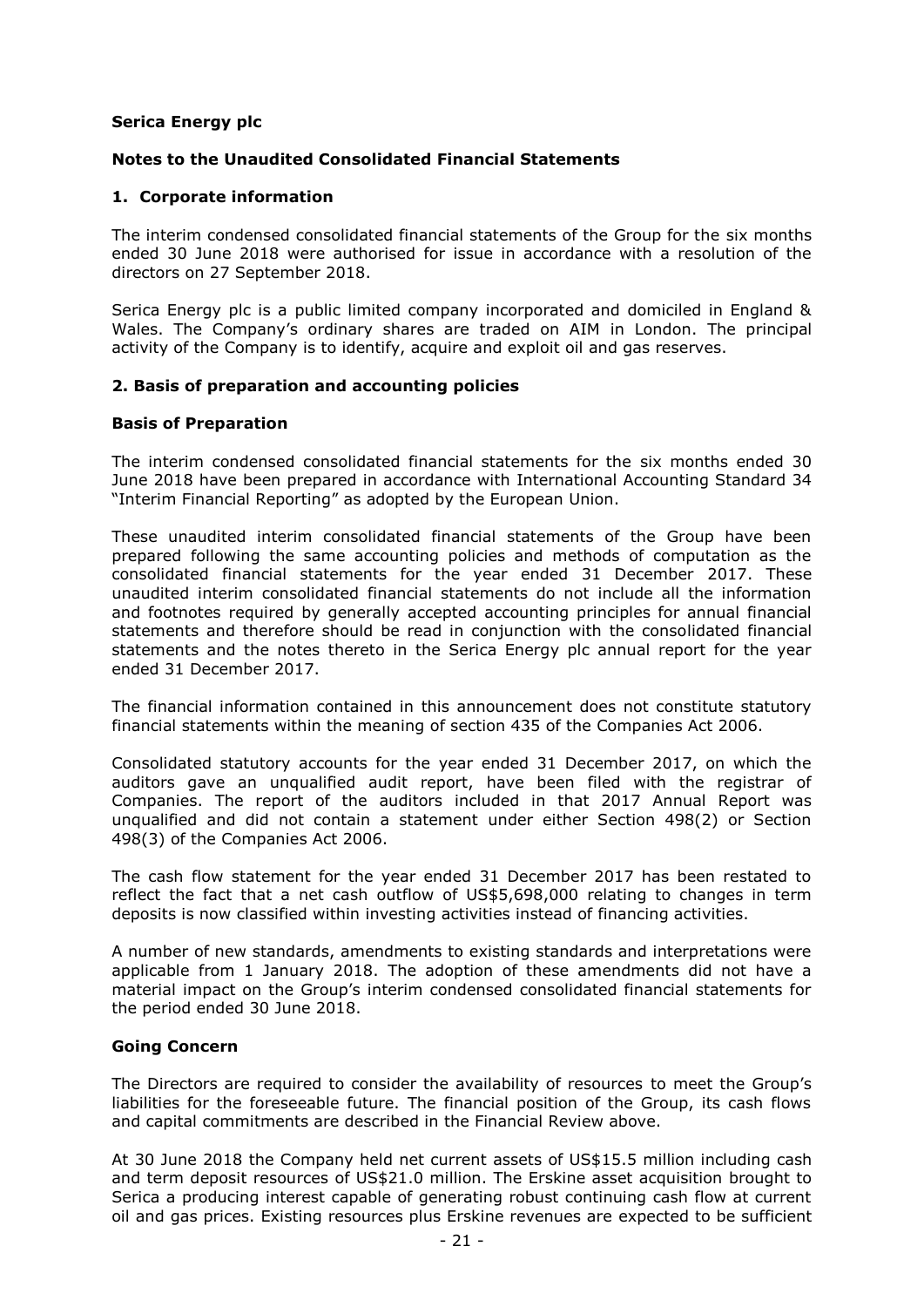# **Serica Energy plc**

# **Notes to the Unaudited Consolidated Financial Statements**

# **1. Corporate information**

The interim condensed consolidated financial statements of the Group for the six months ended 30 June 2018 were authorised for issue in accordance with a resolution of the directors on 27 September 2018.

Serica Energy plc is a public limited company incorporated and domiciled in England & Wales. The Company's ordinary shares are traded on AIM in London. The principal activity of the Company is to identify, acquire and exploit oil and gas reserves.

# **2. Basis of preparation and accounting policies**

# **Basis of Preparation**

The interim condensed consolidated financial statements for the six months ended 30 June 2018 have been prepared in accordance with International Accounting Standard 34 "Interim Financial Reporting" as adopted by the European Union.

These unaudited interim consolidated financial statements of the Group have been prepared following the same accounting policies and methods of computation as the consolidated financial statements for the year ended 31 December 2017. These unaudited interim consolidated financial statements do not include all the information and footnotes required by generally accepted accounting principles for annual financial statements and therefore should be read in conjunction with the consolidated financial statements and the notes thereto in the Serica Energy plc annual report for the year ended 31 December 2017.

The financial information contained in this announcement does not constitute statutory financial statements within the meaning of section 435 of the Companies Act 2006.

Consolidated statutory accounts for the year ended 31 December 2017, on which the auditors gave an unqualified audit report, have been filed with the registrar of Companies. The report of the auditors included in that 2017 Annual Report was unqualified and did not contain a statement under either Section 498(2) or Section 498(3) of the Companies Act 2006.

The cash flow statement for the year ended 31 December 2017 has been restated to reflect the fact that a net cash outflow of US\$5,698,000 relating to changes in term deposits is now classified within investing activities instead of financing activities.

A number of new standards, amendments to existing standards and interpretations were applicable from 1 January 2018. The adoption of these amendments did not have a material impact on the Group's interim condensed consolidated financial statements for the period ended 30 June 2018.

# **Going Concern**

The Directors are required to consider the availability of resources to meet the Group's liabilities for the foreseeable future. The financial position of the Group, its cash flows and capital commitments are described in the Financial Review above.

At 30 June 2018 the Company held net current assets of US\$15.5 million including cash and term deposit resources of US\$21.0 million. The Erskine asset acquisition brought to Serica a producing interest capable of generating robust continuing cash flow at current oil and gas prices. Existing resources plus Erskine revenues are expected to be sufficient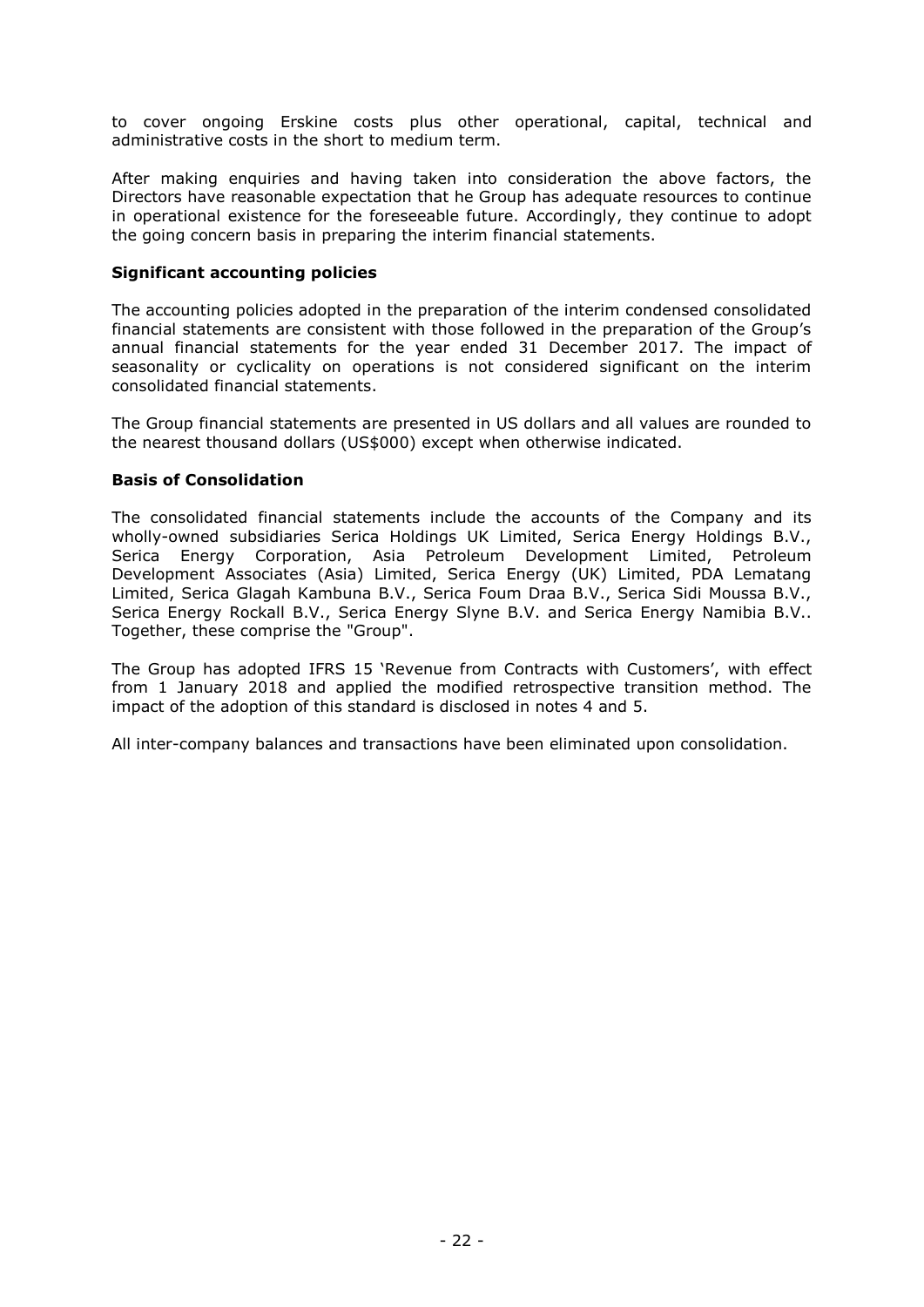to cover ongoing Erskine costs plus other operational, capital, technical and administrative costs in the short to medium term.

After making enquiries and having taken into consideration the above factors, the Directors have reasonable expectation that he Group has adequate resources to continue in operational existence for the foreseeable future. Accordingly, they continue to adopt the going concern basis in preparing the interim financial statements.

# **Significant accounting policies**

The accounting policies adopted in the preparation of the interim condensed consolidated financial statements are consistent with those followed in the preparation of the Group's annual financial statements for the year ended 31 December 2017. The impact of seasonality or cyclicality on operations is not considered significant on the interim consolidated financial statements.

The Group financial statements are presented in US dollars and all values are rounded to the nearest thousand dollars (US\$000) except when otherwise indicated.

# **Basis of Consolidation**

The consolidated financial statements include the accounts of the Company and its wholly-owned subsidiaries Serica Holdings UK Limited, Serica Energy Holdings B.V., Serica Energy Corporation, Asia Petroleum Development Limited, Petroleum Development Associates (Asia) Limited, Serica Energy (UK) Limited, PDA Lematang Limited, Serica Glagah Kambuna B.V., Serica Foum Draa B.V., Serica Sidi Moussa B.V., Serica Energy Rockall B.V., Serica Energy Slyne B.V. and Serica Energy Namibia B.V.. Together, these comprise the "Group".

The Group has adopted IFRS 15 'Revenue from Contracts with Customers', with effect from 1 January 2018 and applied the modified retrospective transition method. The impact of the adoption of this standard is disclosed in notes 4 and 5.

All inter-company balances and transactions have been eliminated upon consolidation.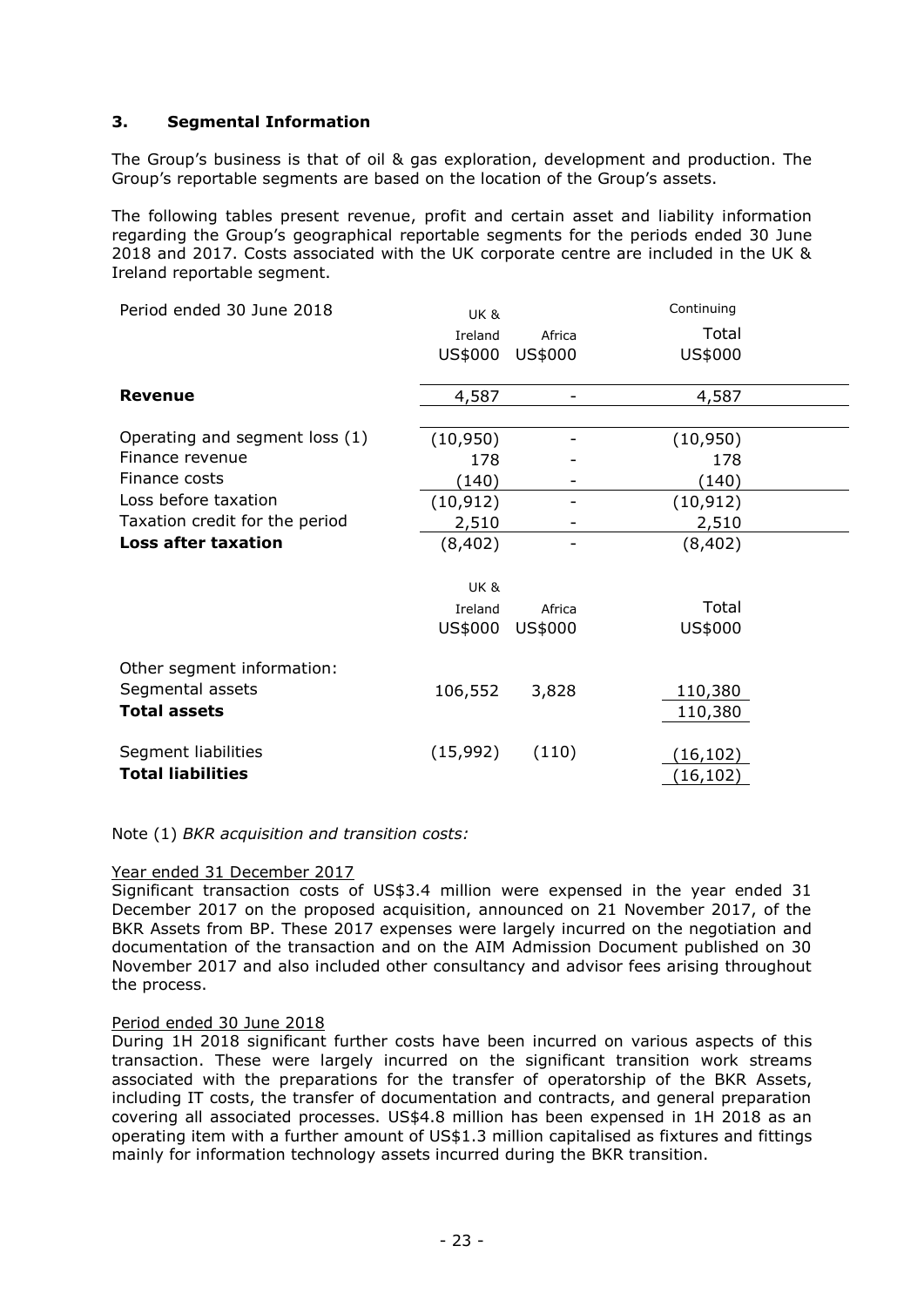# **3. Segmental Information**

The Group's business is that of oil & gas exploration, development and production. The Group's reportable segments are based on the location of the Group's assets.

The following tables present revenue, profit and certain asset and liability information regarding the Group's geographical reportable segments for the periods ended 30 June 2018 and 2017. Costs associated with the UK corporate centre are included in the UK & Ireland reportable segment.

| Period ended 30 June 2018                       | <b>UK &amp;</b> |         | Continuing             |
|-------------------------------------------------|-----------------|---------|------------------------|
|                                                 | Ireland         | Africa  | Total                  |
|                                                 | US\$000         | US\$000 | US\$000                |
| Revenue                                         | 4,587           |         | 4,587                  |
| Operating and segment loss (1)                  | (10, 950)       |         | (10, 950)              |
| Finance revenue                                 | 178             |         | 178                    |
| Finance costs                                   | (140)           |         | (140)                  |
| Loss before taxation                            | (10, 912)       |         | (10, 912)              |
| Taxation credit for the period                  | 2,510           |         | 2,510                  |
| <b>Loss after taxation</b>                      | (8, 402)        |         | (8,402)                |
|                                                 | <b>UK &amp;</b> |         |                        |
|                                                 | Ireland         | Africa  | Total                  |
|                                                 | US\$000         | US\$000 | US\$000                |
| Other segment information:                      |                 |         |                        |
| Segmental assets<br><b>Total assets</b>         | 106,552         | 3,828   | 110,380<br>110,380     |
| Segment liabilities<br><b>Total liabilities</b> | (15,992)        | (110)   | (16, 102)<br>(16, 102) |

Note (1) *BKR acquisition and transition costs:*

# Year ended 31 December 2017

Significant transaction costs of US\$3.4 million were expensed in the year ended 31 December 2017 on the proposed acquisition, announced on 21 November 2017, of the BKR Assets from BP. These 2017 expenses were largely incurred on the negotiation and documentation of the transaction and on the AIM Admission Document published on 30 November 2017 and also included other consultancy and advisor fees arising throughout the process.

#### Period ended 30 June 2018

During 1H 2018 significant further costs have been incurred on various aspects of this transaction. These were largely incurred on the significant transition work streams associated with the preparations for the transfer of operatorship of the BKR Assets, including IT costs, the transfer of documentation and contracts, and general preparation covering all associated processes. US\$4.8 million has been expensed in 1H 2018 as an operating item with a further amount of US\$1.3 million capitalised as fixtures and fittings mainly for information technology assets incurred during the BKR transition.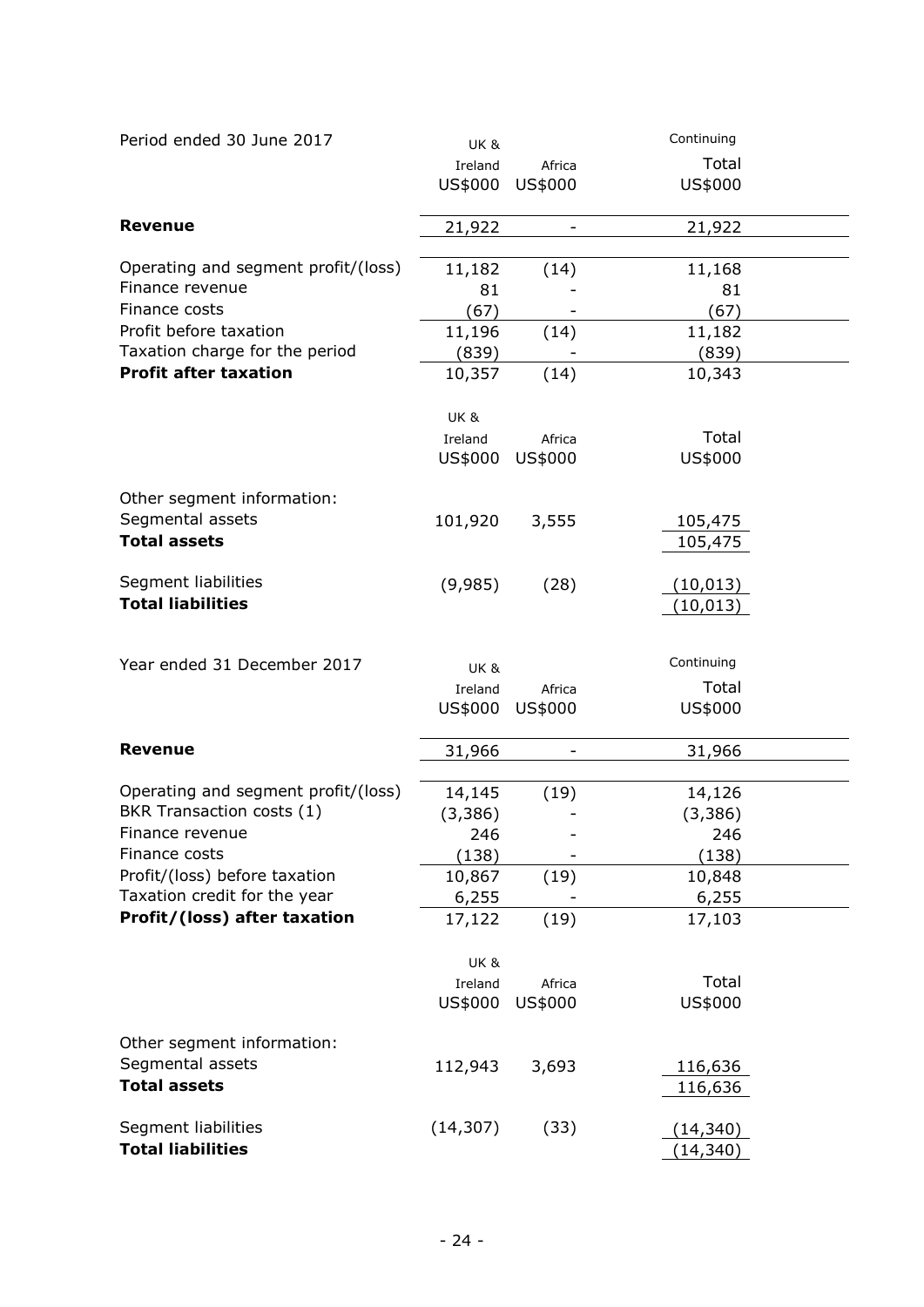| Period ended 30 June 2017           | <b>UK &amp;</b> |         | Continuing             |  |
|-------------------------------------|-----------------|---------|------------------------|--|
|                                     | Ireland         | Africa  | Total                  |  |
|                                     | US\$000         | US\$000 | US\$000                |  |
| <b>Revenue</b>                      | 21,922          |         | 21,922                 |  |
|                                     |                 |         |                        |  |
| Operating and segment profit/(loss) | 11,182          | (14)    | 11,168                 |  |
| Finance revenue                     | 81              |         | 81                     |  |
| Finance costs                       | (67)            |         | (67)                   |  |
| Profit before taxation              | 11,196          | (14)    | 11,182                 |  |
| Taxation charge for the period      | (839)           |         | (839)                  |  |
| <b>Profit after taxation</b>        | 10,357          | (14)    | 10,343                 |  |
|                                     | <b>UK &amp;</b> |         |                        |  |
|                                     | Ireland         | Africa  | Total                  |  |
|                                     | US\$000         | US\$000 | US\$000                |  |
| Other segment information:          |                 |         |                        |  |
| Segmental assets                    | 101,920         | 3,555   | 105,475                |  |
| <b>Total assets</b>                 |                 |         | 105,475                |  |
| Segment liabilities                 | (9,985)         | (28)    |                        |  |
| <b>Total liabilities</b>            |                 |         | (10, 013)<br>(10, 013) |  |
|                                     |                 |         |                        |  |
| Year ended 31 December 2017         | <b>UK &amp;</b> |         | Continuing             |  |
|                                     | Ireland         | Africa  | Total                  |  |
|                                     | US\$000         | US\$000 | US\$000                |  |
|                                     |                 |         |                        |  |
| <b>Revenue</b>                      | 31,966          |         | 31,966                 |  |
| Operating and segment profit/(loss) | 14,145          | (19)    | 14,126                 |  |
| BKR Transaction costs (1)           | (3, 386)        |         | (3, 386)               |  |
| Finance revenue                     | 246             |         | 246                    |  |
| Finance costs                       | (138)           |         | (138)                  |  |
| Profit/(loss) before taxation       | 10,867          | (19)    | 10,848                 |  |
| Taxation credit for the year        | 6,255           |         | 6,255                  |  |
| Profit/(loss) after taxation        | 17,122          | (19)    | 17,103                 |  |
|                                     | <b>UK &amp;</b> |         |                        |  |
|                                     | Ireland         | Africa  | Total                  |  |
|                                     | US\$000         | US\$000 | US\$000                |  |
|                                     |                 |         |                        |  |
| Other segment information:          |                 |         |                        |  |
| Segmental assets                    | 112,943         | 3,693   | 116,636                |  |
| <b>Total assets</b>                 |                 |         | 116,636                |  |
| Segment liabilities                 | (14, 307)       | (33)    | (14, 340)              |  |
| <b>Total liabilities</b>            |                 |         | (14, 340)              |  |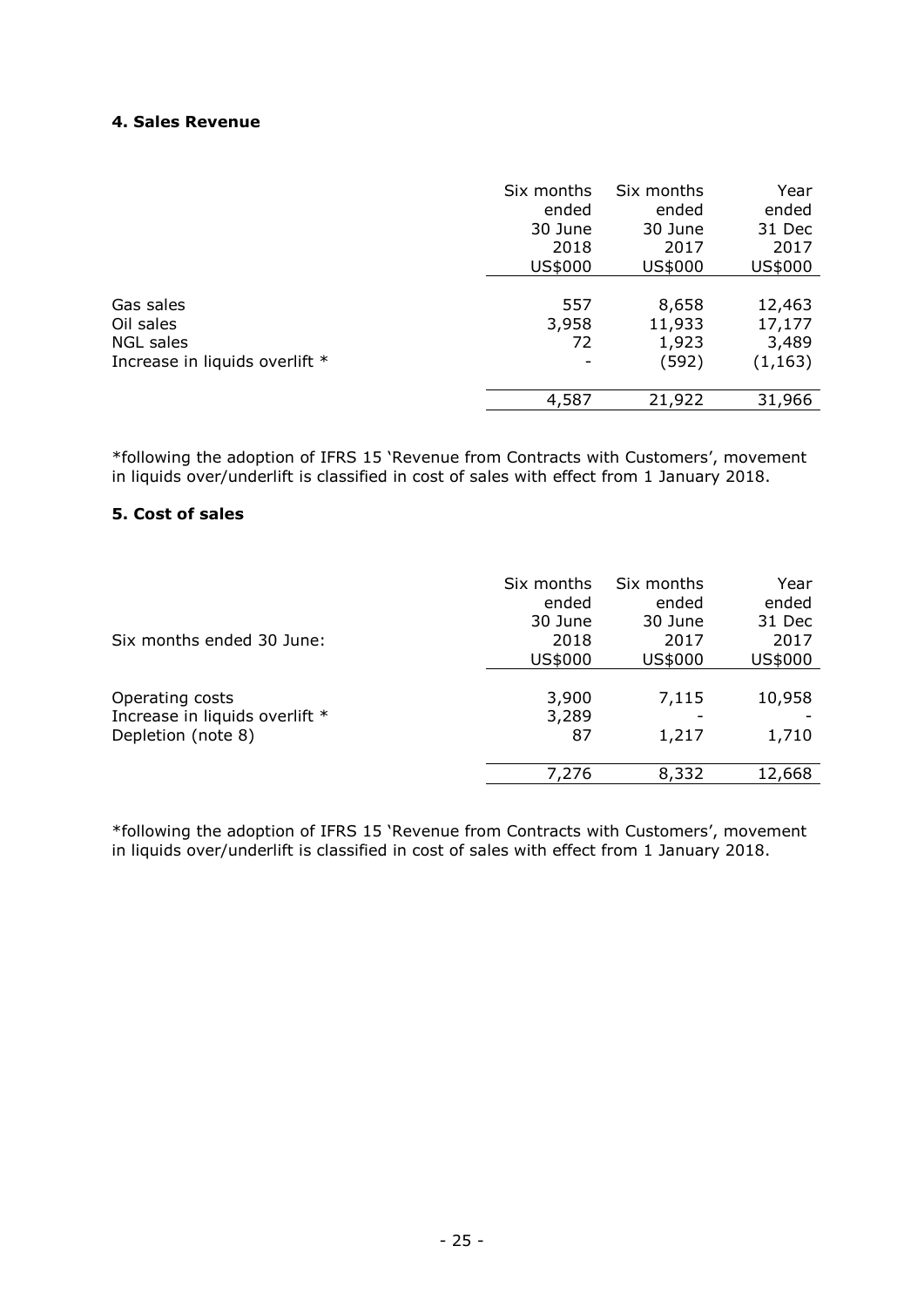# **4. Sales Revenue**

|                                | Six months               | Six months | Year     |
|--------------------------------|--------------------------|------------|----------|
|                                | ended                    | ended      | ended    |
|                                | 30 June                  | 30 June    | 31 Dec   |
|                                | 2018                     | 2017       | 2017     |
|                                | US\$000                  | US\$000    | US\$000  |
| Gas sales                      | 557                      | 8,658      | 12,463   |
| Oil sales                      | 3,958                    | 11,933     | 17,177   |
| NGL sales                      | 72                       | 1,923      | 3,489    |
| Increase in liquids overlift * | $\overline{\phantom{0}}$ | (592)      | (1, 163) |
|                                | 4,587                    | 21,922     | 31,966   |

\*following the adoption of IFRS 15 'Revenue from Contracts with Customers', movement in liquids over/underlift is classified in cost of sales with effect from 1 January 2018.

# **5. Cost of sales**

| Six months ended 30 June:                                               | Six months                    | Six months              | Year                      |
|-------------------------------------------------------------------------|-------------------------------|-------------------------|---------------------------|
|                                                                         | ended                         | ended                   | ended                     |
|                                                                         | 30 June                       | 30 June                 | 31 Dec                    |
|                                                                         | 2018                          | 2017                    | 2017                      |
|                                                                         | US\$000                       | US\$000                 | US\$000                   |
| Operating costs<br>Increase in liquids overlift *<br>Depletion (note 8) | 3,900<br>3,289<br>87<br>7,276 | 7,115<br>1,217<br>8,332 | 10,958<br>1,710<br>12,668 |

\*following the adoption of IFRS 15 'Revenue from Contracts with Customers', movement in liquids over/underlift is classified in cost of sales with effect from 1 January 2018.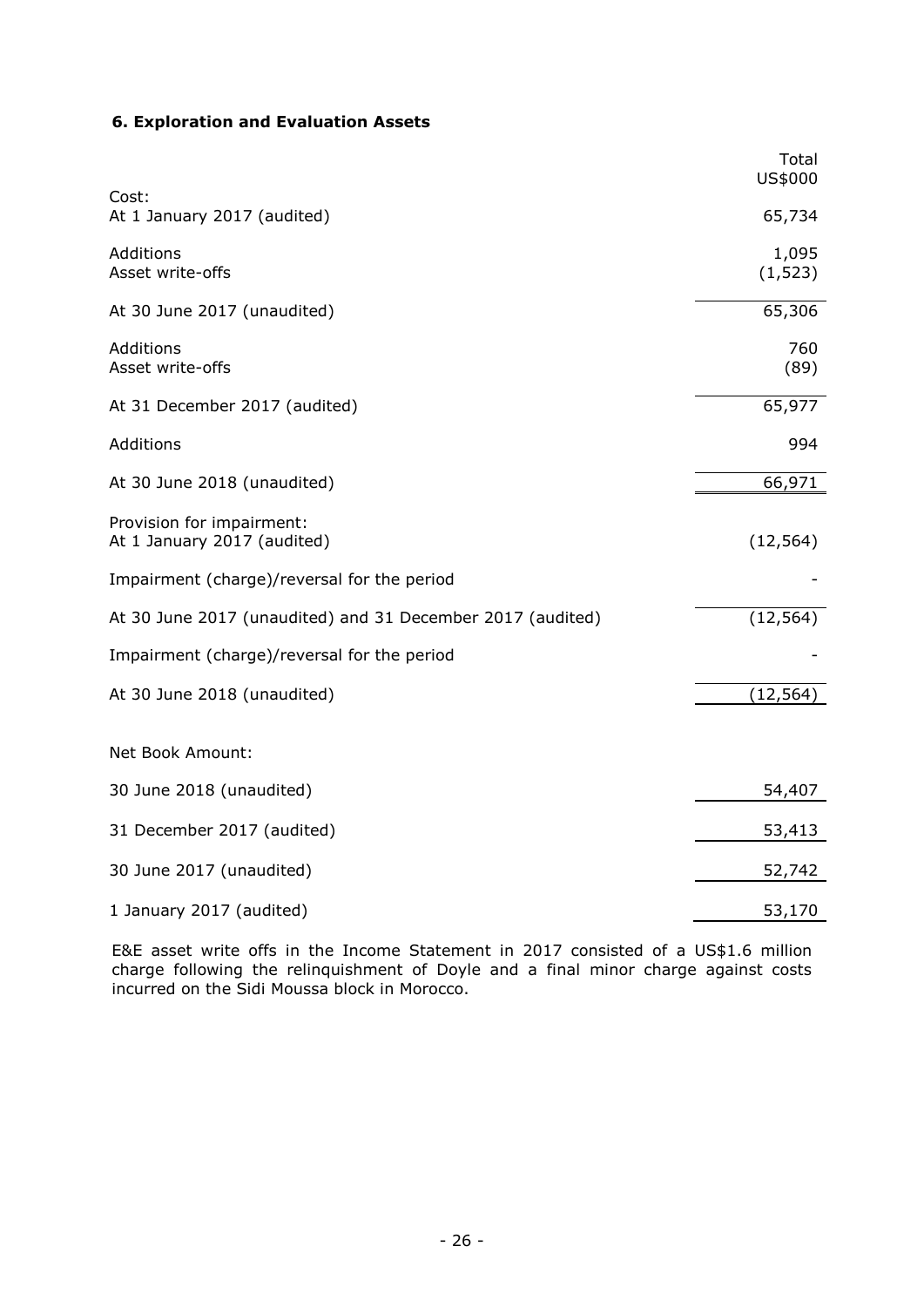# **6. Exploration and Evaluation Assets**

|                                                            | Total<br>US\$000  |
|------------------------------------------------------------|-------------------|
| Cost:<br>At 1 January 2017 (audited)                       | 65,734            |
| Additions<br>Asset write-offs                              | 1,095<br>(1, 523) |
| At 30 June 2017 (unaudited)                                | 65,306            |
| Additions<br>Asset write-offs                              | 760<br>(89)       |
| At 31 December 2017 (audited)                              | 65,977            |
| Additions                                                  | 994               |
| At 30 June 2018 (unaudited)                                | 66,971            |
| Provision for impairment:<br>At 1 January 2017 (audited)   | (12, 564)         |
| Impairment (charge)/reversal for the period                |                   |
| At 30 June 2017 (unaudited) and 31 December 2017 (audited) | (12, 564)         |
| Impairment (charge)/reversal for the period                |                   |
| At 30 June 2018 (unaudited)                                | (12, 564)         |
| Net Book Amount:                                           |                   |
| 30 June 2018 (unaudited)                                   | 54,407            |
| 31 December 2017 (audited)                                 | 53,413            |
| 30 June 2017 (unaudited)                                   | 52,742            |
| 1 January 2017 (audited)                                   | 53,170            |

E&E asset write offs in the Income Statement in 2017 consisted of a US\$1.6 million charge following the relinquishment of Doyle and a final minor charge against costs incurred on the Sidi Moussa block in Morocco.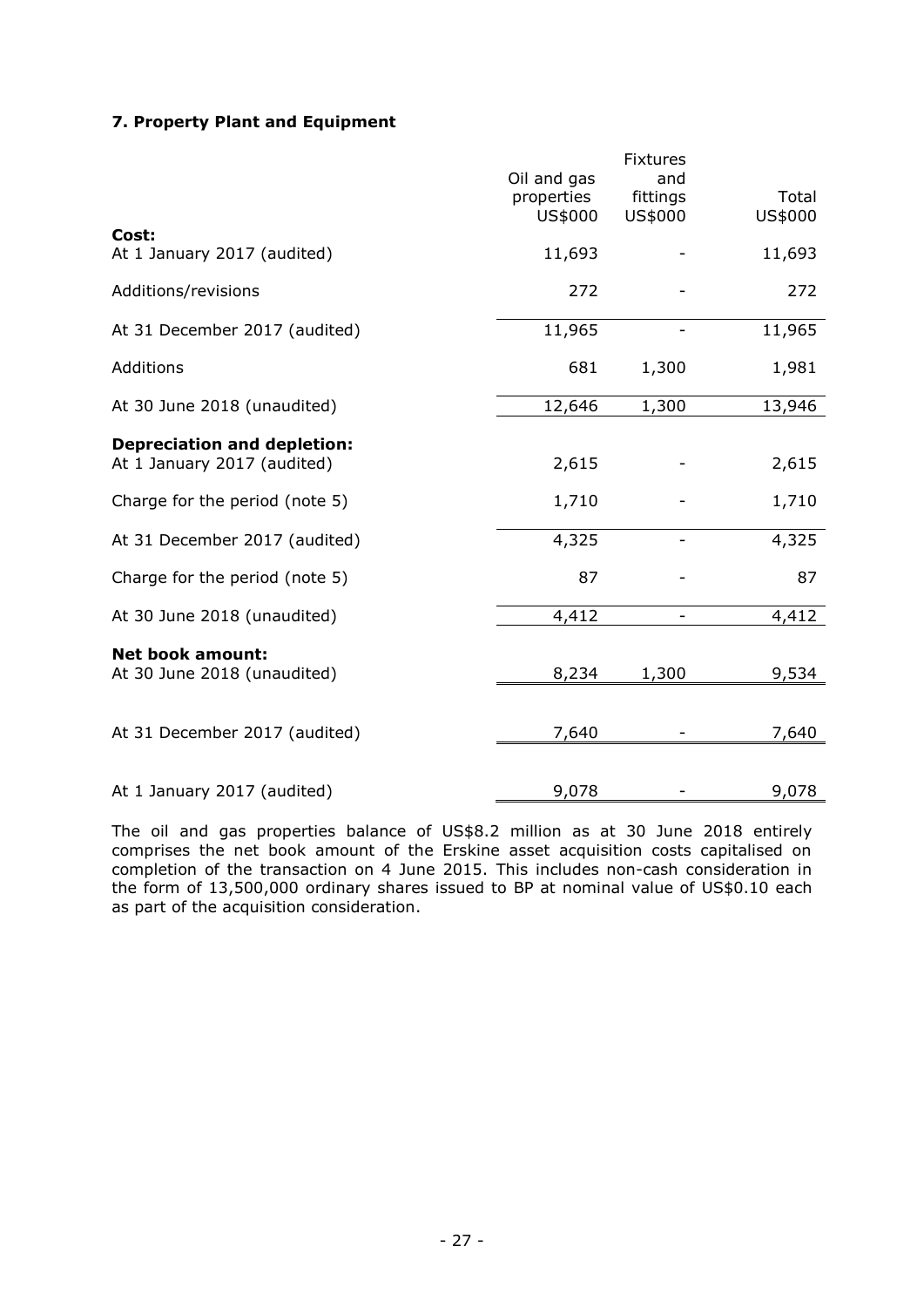# **7. Property Plant and Equipment**

|                                                                   | Oil and gas<br>properties<br>US\$000 | <b>Fixtures</b><br>and<br>fittings<br>US\$000 | Total<br>US\$000 |
|-------------------------------------------------------------------|--------------------------------------|-----------------------------------------------|------------------|
| Cost:<br>At 1 January 2017 (audited)                              | 11,693                               |                                               | 11,693           |
| Additions/revisions                                               | 272                                  |                                               | 272              |
| At 31 December 2017 (audited)                                     | 11,965                               |                                               | 11,965           |
| Additions                                                         | 681                                  | 1,300                                         | 1,981            |
| At 30 June 2018 (unaudited)                                       | 12,646                               | 1,300                                         | 13,946           |
| <b>Depreciation and depletion:</b><br>At 1 January 2017 (audited) | 2,615                                |                                               | 2,615            |
| Charge for the period (note 5)                                    | 1,710                                |                                               | 1,710            |
| At 31 December 2017 (audited)                                     | 4,325                                |                                               | 4,325            |
| Charge for the period (note 5)                                    | 87                                   |                                               | 87               |
| At 30 June 2018 (unaudited)                                       | 4,412                                |                                               | 4,412            |
| <b>Net book amount:</b><br>At 30 June 2018 (unaudited)            | 8,234                                | 1,300                                         | 9,534            |
| At 31 December 2017 (audited)                                     | 7,640                                |                                               | 7,640            |
| At 1 January 2017 (audited)                                       | 9,078                                |                                               | 9,078            |

The oil and gas properties balance of US\$8.2 million as at 30 June 2018 entirely comprises the net book amount of the Erskine asset acquisition costs capitalised on completion of the transaction on 4 June 2015. This includes non-cash consideration in the form of 13,500,000 ordinary shares issued to BP at nominal value of US\$0.10 each as part of the acquisition consideration.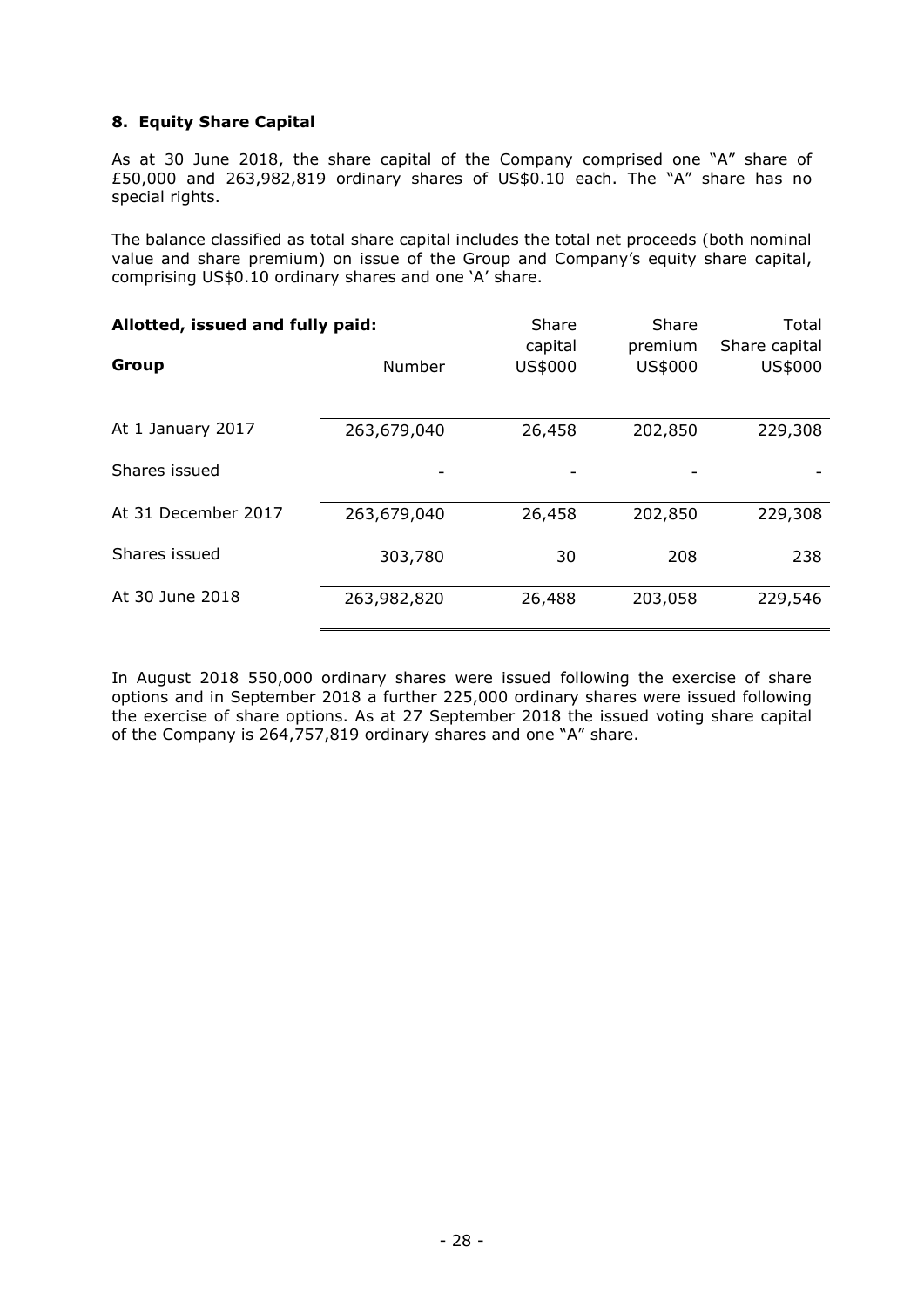# **8. Equity Share Capital**

As at 30 June 2018, the share capital of the Company comprised one "A" share of £50,000 and 263,982,819 ordinary shares of US\$0.10 each. The "A" share has no special rights.

The balance classified as total share capital includes the total net proceeds (both nominal value and share premium) on issue of the Group and Company's equity share capital, comprising US\$0.10 ordinary shares and one 'A' share.

| Allotted, issued and fully paid: |             | Share<br>capital | Share<br>premium | Total<br>Share capital |
|----------------------------------|-------------|------------------|------------------|------------------------|
| Group                            | Number      | US\$000          | US\$000          | US\$000                |
| At 1 January 2017                | 263,679,040 | 26,458           | 202,850          | 229,308                |
| Shares issued                    |             |                  |                  |                        |
| At 31 December 2017              | 263,679,040 | 26,458           | 202,850          | 229,308                |
| Shares issued                    | 303,780     | 30               | 208              | 238                    |
| At 30 June 2018                  | 263,982,820 | 26,488           | 203,058          | 229,546                |

In August 2018 550,000 ordinary shares were issued following the exercise of share options and in September 2018 a further 225,000 ordinary shares were issued following the exercise of share options. As at 27 September 2018 the issued voting share capital of the Company is 264,757,819 ordinary shares and one "A" share.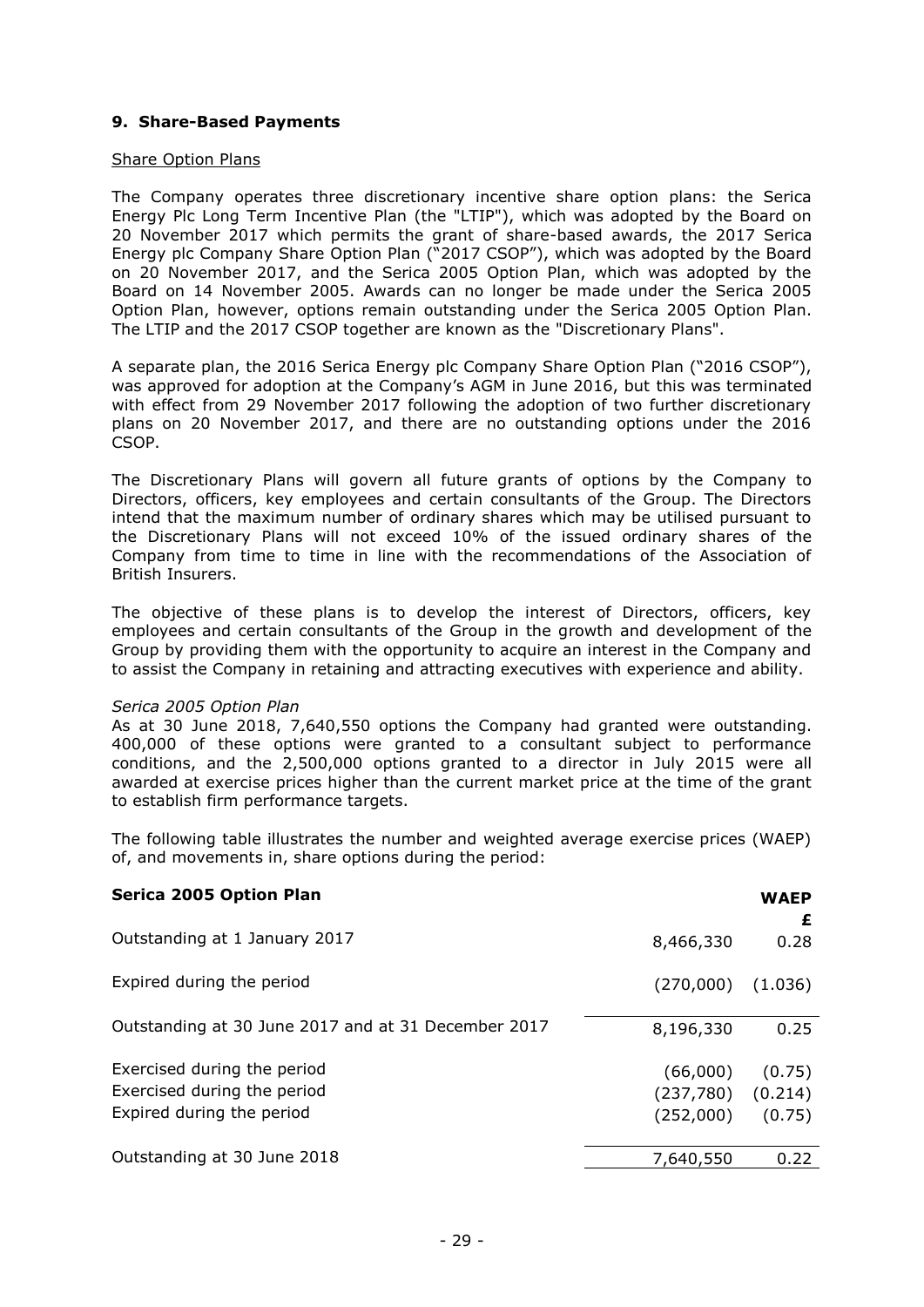# **9. Share-Based Payments**

## Share Option Plans

The Company operates three discretionary incentive share option plans: the Serica Energy Plc Long Term Incentive Plan (the "LTIP"), which was adopted by the Board on 20 November 2017 which permits the grant of share-based awards, the 2017 Serica Energy plc Company Share Option Plan ("2017 CSOP"), which was adopted by the Board on 20 November 2017, and the Serica 2005 Option Plan, which was adopted by the Board on 14 November 2005. Awards can no longer be made under the Serica 2005 Option Plan, however, options remain outstanding under the Serica 2005 Option Plan. The LTIP and the 2017 CSOP together are known as the "Discretionary Plans".

A separate plan, the 2016 Serica Energy plc Company Share Option Plan ("2016 CSOP"), was approved for adoption at the Company's AGM in June 2016, but this was terminated with effect from 29 November 2017 following the adoption of two further discretionary plans on 20 November 2017, and there are no outstanding options under the 2016 CSOP.

The Discretionary Plans will govern all future grants of options by the Company to Directors, officers, key employees and certain consultants of the Group. The Directors intend that the maximum number of ordinary shares which may be utilised pursuant to the Discretionary Plans will not exceed 10% of the issued ordinary shares of the Company from time to time in line with the recommendations of the Association of British Insurers.

The objective of these plans is to develop the interest of Directors, officers, key employees and certain consultants of the Group in the growth and development of the Group by providing them with the opportunity to acquire an interest in the Company and to assist the Company in retaining and attracting executives with experience and ability.

# *Serica 2005 Option Plan*

As at 30 June 2018, 7,640,550 options the Company had granted were outstanding. 400,000 of these options were granted to a consultant subject to performance conditions, and the 2,500,000 options granted to a director in July 2015 were all awarded at exercise prices higher than the current market price at the time of the grant to establish firm performance targets.

The following table illustrates the number and weighted average exercise prices (WAEP) of, and movements in, share options during the period:

| Serica 2005 Option Plan                             |           | <b>WAEP</b><br>£ |
|-----------------------------------------------------|-----------|------------------|
| Outstanding at 1 January 2017                       | 8,466,330 | 0.28             |
| Expired during the period                           | (270,000) | (1.036)          |
| Outstanding at 30 June 2017 and at 31 December 2017 | 8,196,330 | 0.25             |
| Exercised during the period                         | (66,000)  | (0.75)           |
| Exercised during the period                         | (237,780) | (0.214)          |
| Expired during the period                           | (252,000) | (0.75)           |
| Outstanding at 30 June 2018                         | 7,640,550 | 0.22             |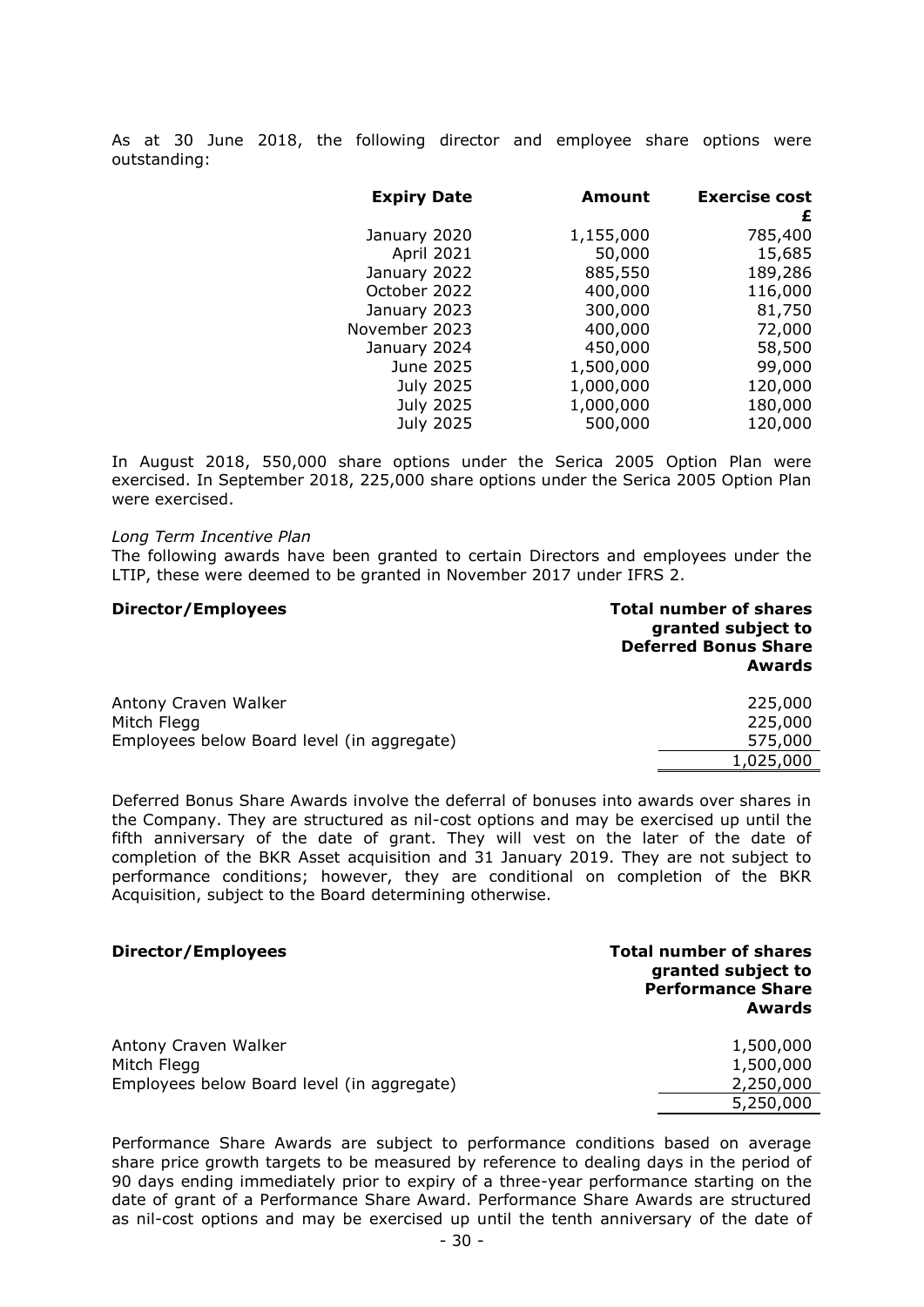As at 30 June 2018, the following director and employee share options were outstanding:

| <b>Expiry Date</b> |           | <b>Amount</b> | <b>Exercise cost</b><br>£ |
|--------------------|-----------|---------------|---------------------------|
| January 2020       |           | 1,155,000     | 785,400                   |
| April 2021         |           | 50,000        | 15,685                    |
| January 2022       |           | 885,550       | 189,286                   |
| October 2022       |           | 400,000       | 116,000                   |
| January 2023       |           | 300,000       | 81,750                    |
| November 2023      |           | 400,000       | 72,000                    |
| January 2024       |           | 450,000       | 58,500                    |
| June 2025          |           | 1,500,000     | 99,000                    |
|                    | July 2025 | 1,000,000     | 120,000                   |
|                    | July 2025 | 1,000,000     | 180,000                   |
|                    | July 2025 | 500,000       | 120,000                   |

In August 2018, 550,000 share options under the Serica 2005 Option Plan were exercised. In September 2018, 225,000 share options under the Serica 2005 Option Plan were exercised.

#### *Long Term Incentive Plan*

The following awards have been granted to certain Directors and employees under the LTIP, these were deemed to be granted in November 2017 under IFRS 2.

# **Director/Employees Total number of shares granted subject to Deferred Bonus Share Awards** Antony Craven Walker 225,000 Mitch Flegg 225,000 Employees below Board level (in aggregate) 575,000 1,025,000

Deferred Bonus Share Awards involve the deferral of bonuses into awards over shares in the Company. They are structured as nil-cost options and may be exercised up until the fifth anniversary of the date of grant. They will vest on the later of the date of completion of the BKR Asset acquisition and 31 January 2019. They are not subject to performance conditions; however, they are conditional on completion of the BKR Acquisition, subject to the Board determining otherwise.

# **Director/Employees Total number of shares granted subject to Performance Share Awards**

| Antony Craven Walker                       | 1,500,000 |
|--------------------------------------------|-----------|
| Mitch Flegg                                | 1,500,000 |
| Employees below Board level (in aggregate) | 2,250,000 |
|                                            | 5,250,000 |

Performance Share Awards are subject to performance conditions based on average share price growth targets to be measured by reference to dealing days in the period of 90 days ending immediately prior to expiry of a three-year performance starting on the date of grant of a Performance Share Award. Performance Share Awards are structured as nil-cost options and may be exercised up until the tenth anniversary of the date of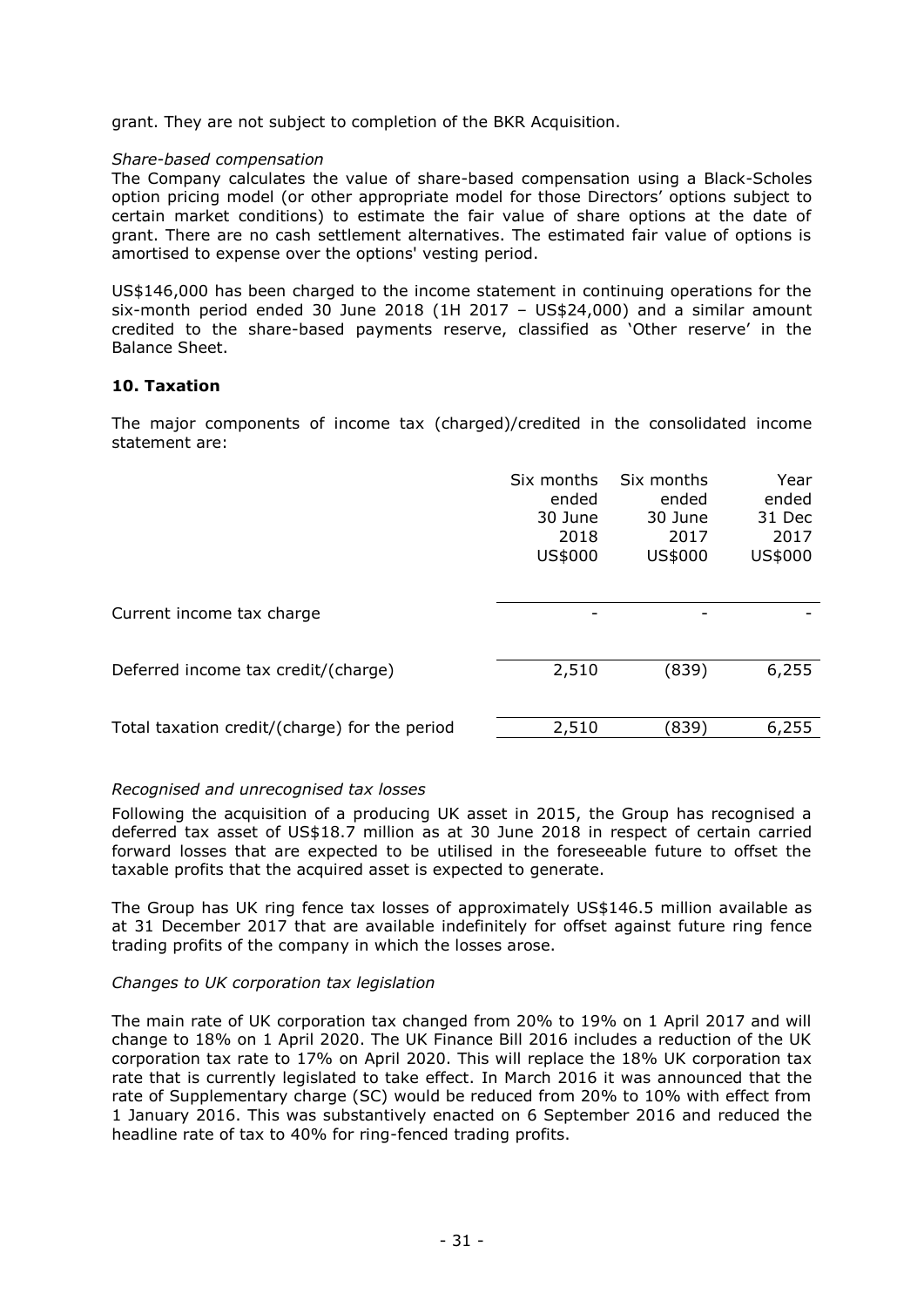grant. They are not subject to completion of the BKR Acquisition.

# *Share-based compensation*

The Company calculates the value of share-based compensation using a Black-Scholes option pricing model (or other appropriate model for those Directors' options subject to certain market conditions) to estimate the fair value of share options at the date of grant. There are no cash settlement alternatives. The estimated fair value of options is amortised to expense over the options' vesting period.

US\$146,000 has been charged to the income statement in continuing operations for the six-month period ended 30 June 2018 (1H 2017 – US\$24,000) and a similar amount credited to the share-based payments reserve, classified as 'Other reserve' in the Balance Sheet.

# **10. Taxation**

The major components of income tax (charged)/credited in the consolidated income statement are:

|                                               | Six months<br>ended<br>30 June<br>2018<br>US\$000 | Six months<br>ended<br>30 June<br>2017<br>US\$000 | Year<br>ended<br>31 Dec<br>2017<br>US\$000 |
|-----------------------------------------------|---------------------------------------------------|---------------------------------------------------|--------------------------------------------|
| Current income tax charge                     |                                                   |                                                   |                                            |
| Deferred income tax credit/(charge)           | 2,510                                             | (839)                                             | 6,255                                      |
| Total taxation credit/(charge) for the period | 2,510                                             | (839)                                             | 6,255                                      |

# *Recognised and unrecognised tax losses*

Following the acquisition of a producing UK asset in 2015, the Group has recognised a deferred tax asset of US\$18.7 million as at 30 June 2018 in respect of certain carried forward losses that are expected to be utilised in the foreseeable future to offset the taxable profits that the acquired asset is expected to generate.

The Group has UK ring fence tax losses of approximately US\$146.5 million available as at 31 December 2017 that are available indefinitely for offset against future ring fence trading profits of the company in which the losses arose.

# *Changes to UK corporation tax legislation*

The main rate of UK corporation tax changed from 20% to 19% on 1 April 2017 and will change to 18% on 1 April 2020. The UK Finance Bill 2016 includes a reduction of the UK corporation tax rate to 17% on April 2020. This will replace the 18% UK corporation tax rate that is currently legislated to take effect. In March 2016 it was announced that the rate of Supplementary charge (SC) would be reduced from 20% to 10% with effect from 1 January 2016. This was substantively enacted on 6 September 2016 and reduced the headline rate of tax to 40% for ring-fenced trading profits.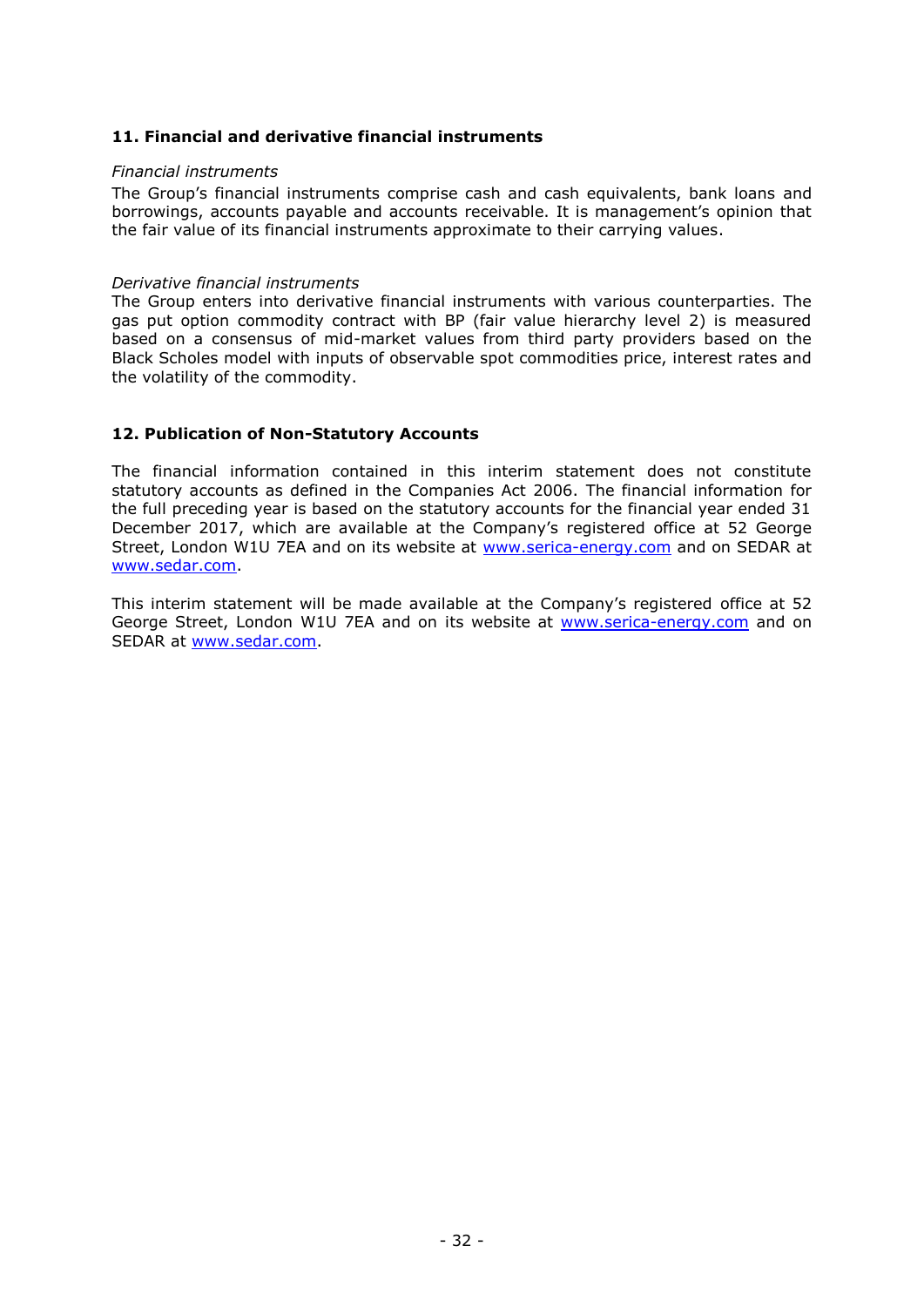# **11. Financial and derivative financial instruments**

# *Financial instruments*

The Group's financial instruments comprise cash and cash equivalents, bank loans and borrowings, accounts payable and accounts receivable. It is management's opinion that the fair value of its financial instruments approximate to their carrying values.

#### *Derivative financial instruments*

The Group enters into derivative financial instruments with various counterparties. The gas put option commodity contract with BP (fair value hierarchy level 2) is measured based on a consensus of mid-market values from third party providers based on the Black Scholes model with inputs of observable spot commodities price, interest rates and the volatility of the commodity.

# **12. Publication of Non-Statutory Accounts**

The financial information contained in this interim statement does not constitute statutory accounts as defined in the Companies Act 2006. The financial information for the full preceding year is based on the statutory accounts for the financial year ended 31 December 2017, which are available at the Company's registered office at 52 George Street, London W1U 7EA and on its website at [www.serica-energy.com](http://www.serica-energy.com/) and on SEDAR at [www.sedar.com.](http://www.sedar.com/)

This interim statement will be made available at the Company's registered office at 52 George Street, London W1U 7EA and on its website at [www.serica-energy.com](http://www.serica-energy.com/) and on SEDAR at [www.sedar.com.](http://www.sedar.com/)